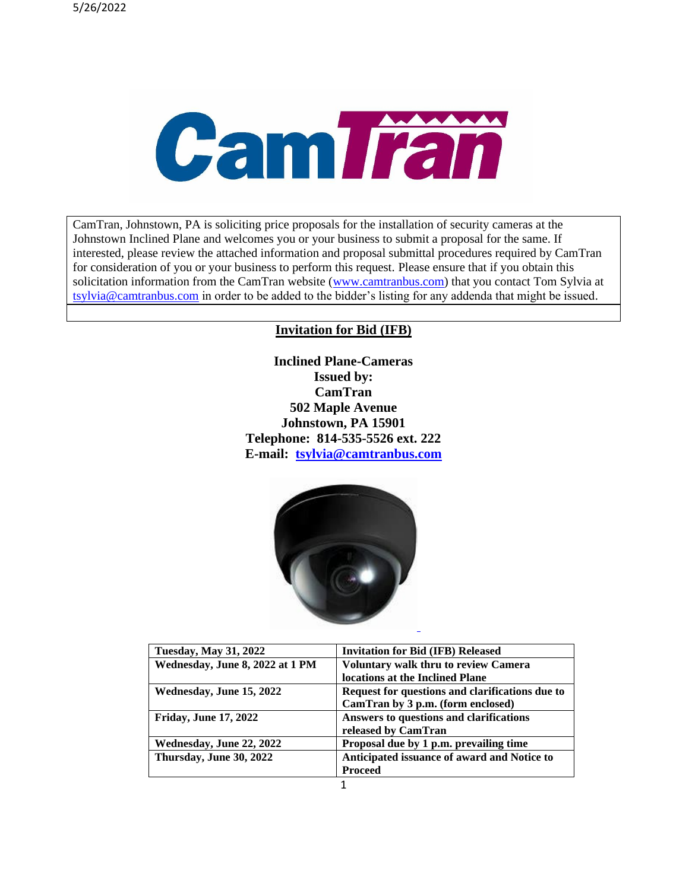

CamTran, Johnstown, PA is soliciting price proposals for the installation of security cameras at the Johnstown Inclined Plane and welcomes you or your business to submit a proposal for the same. If interested, please review the attached information and proposal submittal procedures required by CamTran for consideration of you or your business to perform this request. Please ensure that if you obtain this solicitation information from the CamTran website [\(www.camtranbus.com\)](http://www.camtranbus.com/) that you contact Tom Sylvia at [tsylvia@camtranbus.com](mailto:tsylvia@camtranbus.com) in order to be added to the bidder's listing for any addenda that might be issued.

### **Invitation for Bid (IFB)**

**Inclined Plane-Cameras Issued by: CamTran 502 Maple Avenue Johnstown, PA 15901 Telephone: 814-535-5526 ext. 222 E-mail: [tsylvia@camtranbus.com](mailto:tsylvia@camtranbus.com)**



| <b>Tuesday, May 31, 2022</b>    | <b>Invitation for Bid (IFB) Released</b>        |
|---------------------------------|-------------------------------------------------|
| Wednesday, June 8, 2022 at 1 PM | <b>Voluntary walk thru to review Camera</b>     |
|                                 | locations at the Inclined Plane                 |
| Wednesday, June 15, 2022        | Request for questions and clarifications due to |
|                                 | CamTran by 3 p.m. (form enclosed)               |
| <b>Friday, June 17, 2022</b>    | Answers to questions and clarifications         |
|                                 | released by CamTran                             |
| Wednesday, June 22, 2022        | Proposal due by 1 p.m. prevailing time          |
| Thursday, June 30, 2022         | Anticipated issuance of award and Notice to     |
|                                 | <b>Proceed</b>                                  |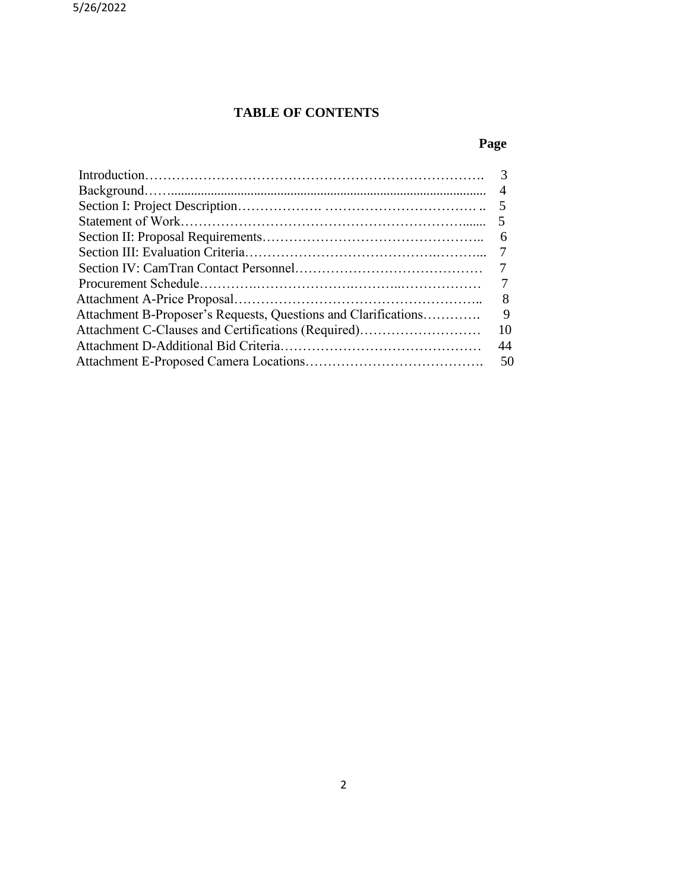## **TABLE OF CONTENTS**

# **Page**

|                                                                | $\overline{4}$ |
|----------------------------------------------------------------|----------------|
|                                                                |                |
|                                                                |                |
|                                                                | 6              |
|                                                                |                |
|                                                                |                |
|                                                                |                |
|                                                                | 8              |
| Attachment B-Proposer's Requests, Questions and Clarifications | 9              |
| Attachment C-Clauses and Certifications (Required)             | 10             |
|                                                                | 44             |
|                                                                | 50             |
|                                                                |                |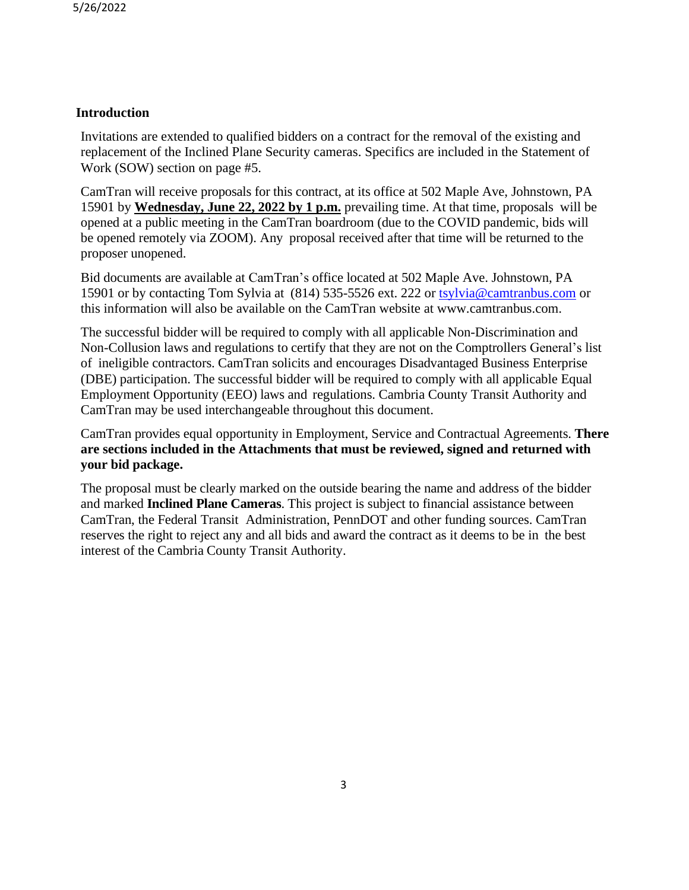## **Introduction**

Invitations are extended to qualified bidders on a contract for the removal of the existing and replacement of the Inclined Plane Security cameras. Specifics are included in the Statement of Work (SOW) section on page #5.

CamTran will receive proposals for this contract, at its office at 502 Maple Ave, Johnstown, PA 15901 by **Wednesday, June 22, 2022 by 1 p.m.** prevailing time. At that time, proposals will be opened at a public meeting in the CamTran boardroom (due to the COVID pandemic, bids will be opened remotely via ZOOM). Any proposal received after that time will be returned to the proposer unopened.

Bid documents are available at CamTran's office located at 502 Maple Ave. Johnstown, PA 15901 or by contacting Tom Sylvia at (814) 535-5526 ext. 222 or [tsylvia@camtranbus.com](mailto:tsylvia@camtranbus.com) or this information will also be available on the CamTran website at www.camtranbus.com.

The successful bidder will be required to comply with all applicable Non-Discrimination and Non-Collusion laws and regulations to certify that they are not on the Comptrollers General's list of ineligible contractors. CamTran solicits and encourages Disadvantaged Business Enterprise (DBE) participation. The successful bidder will be required to comply with all applicable Equal Employment Opportunity (EEO) laws and regulations. Cambria County Transit Authority and CamTran may be used interchangeable throughout this document.

CamTran provides equal opportunity in Employment, Service and Contractual Agreements. **There are sections included in the Attachments that must be reviewed, signed and returned with your bid package.**

The proposal must be clearly marked on the outside bearing the name and address of the bidder and marked **Inclined Plane Cameras**. This project is subject to financial assistance between CamTran, the Federal Transit Administration, PennDOT and other funding sources. CamTran reserves the right to reject any and all bids and award the contract as it deems to be in the best interest of the Cambria County Transit Authority.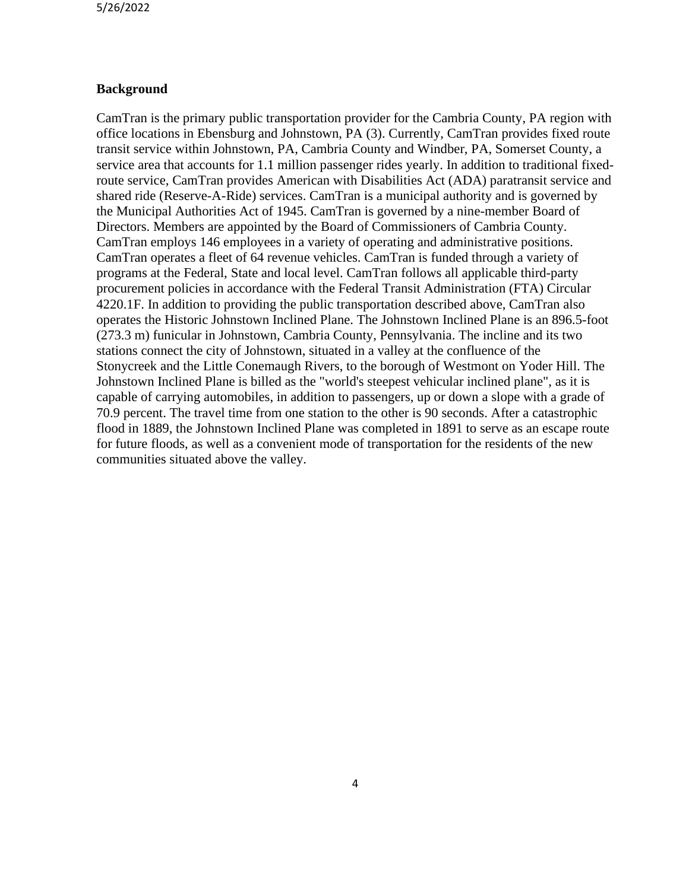### **Background**

CamTran is the primary public transportation provider for the Cambria County, PA region with office locations in Ebensburg and Johnstown, PA (3). Currently, CamTran provides fixed route transit service within Johnstown, PA, Cambria County and Windber, PA, Somerset County, a service area that accounts for 1.1 million passenger rides yearly. In addition to traditional fixedroute service, CamTran provides American with Disabilities Act (ADA) paratransit service and shared ride (Reserve-A-Ride) services. CamTran is a municipal authority and is governed by the Municipal Authorities Act of 1945. CamTran is governed by a nine-member Board of Directors. Members are appointed by the Board of Commissioners of Cambria County. CamTran employs 146 employees in a variety of operating and administrative positions. CamTran operates a fleet of 64 revenue vehicles. CamTran is funded through a variety of programs at the Federal, State and local level. CamTran follows all applicable third-party procurement policies in accordance with the Federal Transit Administration (FTA) Circular 4220.1F. In addition to providing the public transportation described above, CamTran also operates the Historic Johnstown Inclined Plane. The Johnstown Inclined Plane is an 896.5-foot (273.3 m) [funicular](https://en.wikipedia.org/wiki/Funicular) in [Johnstown,](https://en.wikipedia.org/wiki/Johnstown,_Pennsylvania) [Cambria County,](https://en.wikipedia.org/wiki/Cambria_County,_Pennsylvania) [Pennsylvania.](https://en.wikipedia.org/wiki/Pennsylvania) The incline and its two stations connect the city of Johnstown, situated in a valley at the confluence of the [Stonycreek](https://en.wikipedia.org/wiki/Stonycreek_River) and the [Little Conemaugh](https://en.wikipedia.org/wiki/Little_Conemaugh_River) Rivers, to the borough of Westmont on Yoder Hill. The Johnstown Inclined Plane is billed as the "world's steepest vehicular inclined plane", as it is capable of carrying automobiles, in addition to passengers, up or down a slope with a [grade](https://en.wikipedia.org/wiki/Grade_(slope)) of 70.9 percent. The travel time from one station to the other is 90 seconds. After a [catastrophic](https://en.wikipedia.org/wiki/Johnstown_Flood)  [flood in 1889,](https://en.wikipedia.org/wiki/Johnstown_Flood) the Johnstown Inclined Plane was completed in 1891 to serve as an escape route for future floods, as well as a convenient mode of transportation for the residents of the new communities situated above the valley.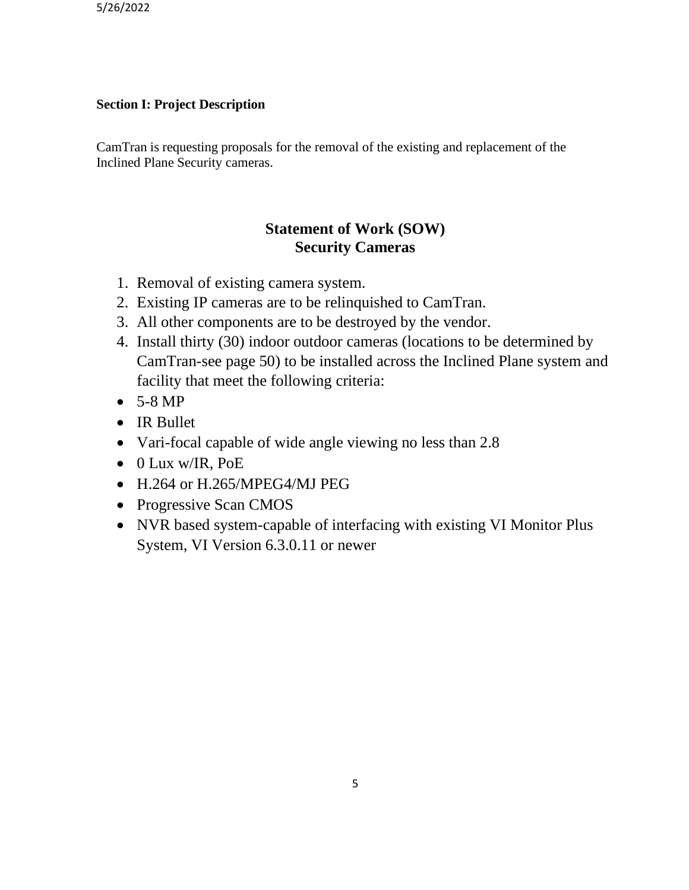## **Section I: Project Description**

CamTran is requesting proposals for the removal of the existing and replacement of the Inclined Plane Security cameras.

## **Statement of Work (SOW) Security Cameras**

- 1. Removal of existing camera system.
- 2. Existing IP cameras are to be relinquished to CamTran.
- 3. All other components are to be destroyed by the vendor.
- 4. Install thirty (30) indoor outdoor cameras (locations to be determined by CamTran-see page 50) to be installed across the Inclined Plane system and facility that meet the following criteria:
- $\bullet$  5-8 MP
- IR Bullet
- Vari-focal capable of wide angle viewing no less than 2.8
- 0 Lux w/IR, PoE
- H.264 or H.265/MPEG4/MJ PEG
- Progressive Scan CMOS
- NVR based system-capable of interfacing with existing VI Monitor Plus System, VI Version 6.3.0.11 or newer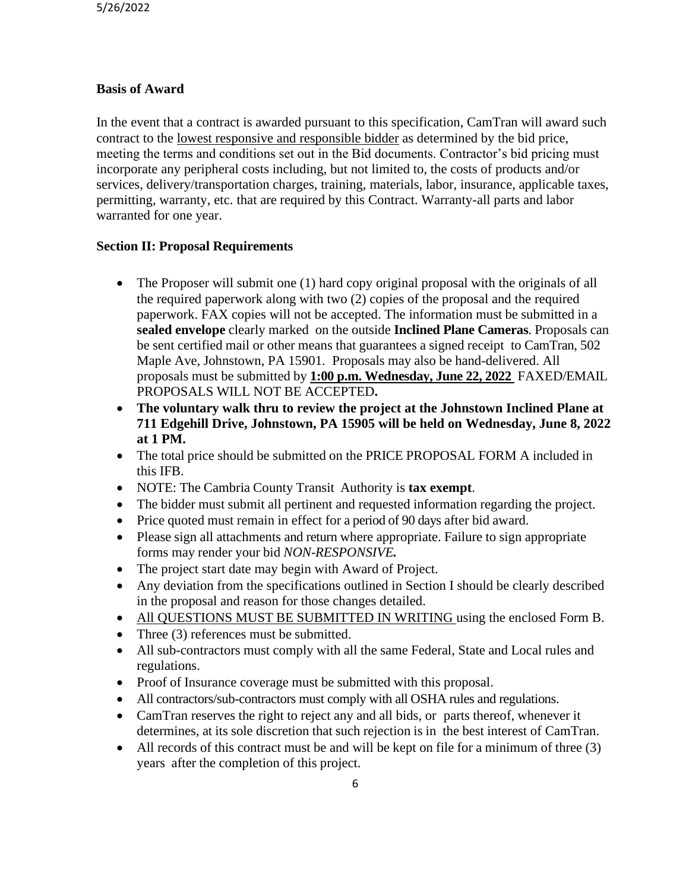### **Basis of Award**

In the event that a contract is awarded pursuant to this specification, CamTran will award such contract to the lowest responsive and responsible bidder as determined by the bid price, meeting the terms and conditions set out in the Bid documents. Contractor's bid pricing must incorporate any peripheral costs including, but not limited to, the costs of products and/or services, delivery/transportation charges, training, materials, labor, insurance, applicable taxes, permitting, warranty, etc. that are required by this Contract. Warranty-all parts and labor warranted for one year.

### **Section II: Proposal Requirements**

- The Proposer will submit one (1) hard copy original proposal with the originals of all the required paperwork along with two (2) copies of the proposal and the required paperwork. FAX copies will not be accepted. The information must be submitted in a **sealed envelope** clearly marked on the outside **Inclined Plane Cameras**. Proposals can be sent certified mail or other means that guarantees a signed receipt to CamTran, 502 Maple Ave, Johnstown, PA 15901. Proposals may also be hand-delivered. All proposals must be submitted by **1:00 p.m. Wednesday, June 22, 2022** FAXED/EMAIL PROPOSALS WILL NOT BE ACCEPTED**.**
- **The voluntary walk thru to review the project at the Johnstown Inclined Plane at 711 Edgehill Drive, Johnstown, PA 15905 will be held on Wednesday, June 8, 2022 at 1 PM.**
- The total price should be submitted on the PRICE PROPOSAL FORM A included in this IFB.
- NOTE: The Cambria County Transit Authority is **tax exempt**.
- The bidder must submit all pertinent and requested information regarding the project.
- Price quoted must remain in effect for a period of 90 days after bid award.
- Please sign all attachments and return where appropriate. Failure to sign appropriate forms may render your bid *NON-RESPONSIVE.*
- The project start date may begin with Award of Project.
- Any deviation from the specifications outlined in Section I should be clearly described in the proposal and reason for those changes detailed.
- All QUESTIONS MUST BE SUBMITTED IN WRITING using the enclosed Form B.
- Three (3) references must be submitted.
- All sub-contractors must comply with all the same Federal, State and Local rules and regulations.
- Proof of Insurance coverage must be submitted with this proposal.
- All contractors/sub-contractors must comply with all OSHA rules and regulations.
- CamTran reserves the right to reject any and all bids, or parts thereof, whenever it determines, at its sole discretion that such rejection is in the best interest of CamTran.
- All records of this contract must be and will be kept on file for a minimum of three (3) years after the completion of this project.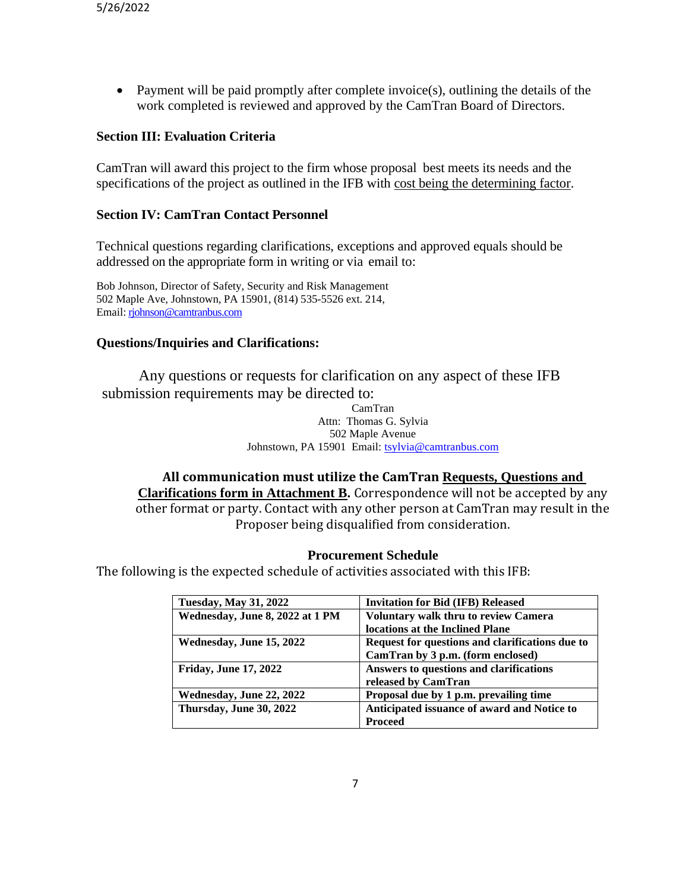• Payment will be paid promptly after complete invoice(s), outlining the details of the work completed is reviewed and approved by the CamTran Board of Directors.

### **Section III: Evaluation Criteria**

CamTran will award this project to the firm whose proposal best meets its needs and the specifications of the project as outlined in the IFB with cost being the determining factor.

### **Section IV: CamTran Contact Personnel**

Technical questions regarding clarifications, exceptions and approved equals should be addressed on the appropriate form in writing or via email to:

Bob Johnson, Director of Safety, Security and Risk Management 502 Maple Ave, Johnstown, PA 15901, (814) 535-5526 ext. 214, Email: [rjohnson@camtranbus.com](mailto:rjohnson@camtranbus.com)

### **Questions/Inquiries and Clarifications:**

Any questions or requests for clarification on any aspect of these IFB submission requirements may be directed to:

> CamTran Attn: Thomas G. Sylvia 502 Maple Avenue Johnstown, PA 15901 Email: [tsylvia@camtranbus.com](mailto:tsylvia@camtranbus.com)

## **All communication must utilize the CamTran Requests, Questions and Clarifications form in Attachment B.** Correspondence will not be accepted by any other format or party. Contact with any other person at CamTran may result in the Proposer being disqualified from consideration.

#### **Procurement Schedule**

The following is the expected schedule of activities associated with this IFB:

| <b>Tuesday, May 31, 2022</b>    | <b>Invitation for Bid (IFB) Released</b>        |
|---------------------------------|-------------------------------------------------|
| Wednesday, June 8, 2022 at 1 PM | Voluntary walk thru to review Camera            |
|                                 | locations at the Inclined Plane                 |
| Wednesday, June 15, 2022        | Request for questions and clarifications due to |
|                                 | CamTran by 3 p.m. (form enclosed)               |
| <b>Friday, June 17, 2022</b>    | Answers to questions and clarifications         |
|                                 | released by CamTran                             |
| Wednesday, June 22, 2022        | Proposal due by 1 p.m. prevailing time          |
| Thursday, June 30, 2022         | Anticipated issuance of award and Notice to     |
|                                 | <b>Proceed</b>                                  |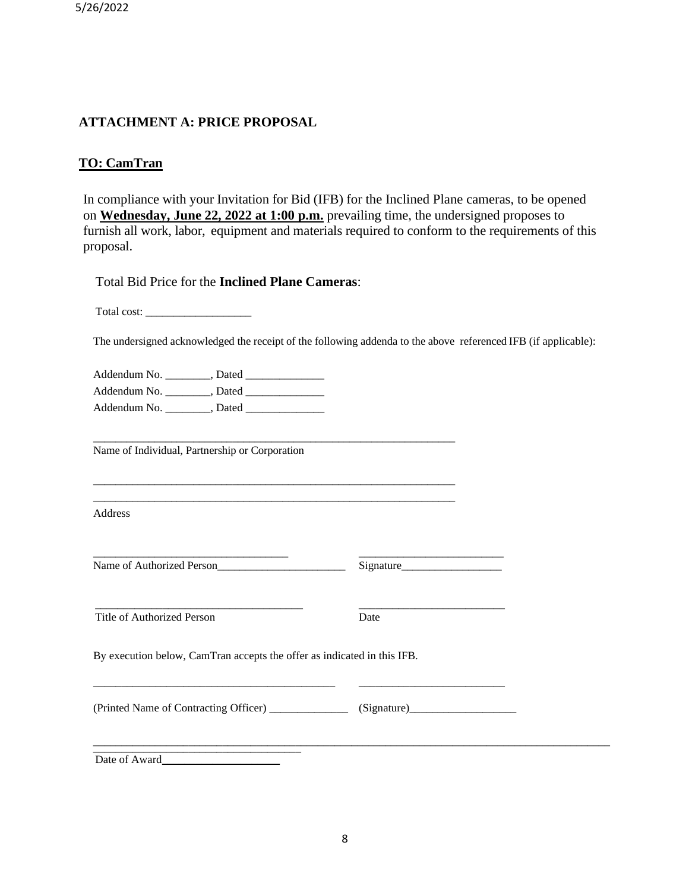5/26/2022

### **ATTACHMENT A: PRICE PROPOSAL**

### **TO: CamTran**

In compliance with your Invitation for Bid (IFB) for the Inclined Plane cameras, to be opened on **Wednesday, June 22, 2022 at 1:00 p.m.** prevailing time, the undersigned proposes to furnish all work, labor, equipment and materials required to conform to the requirements of this proposal.

Total Bid Price for the **Inclined Plane Cameras**:

Total cost: \_\_\_\_\_\_\_\_\_\_\_\_\_\_\_\_\_\_\_

The undersigned acknowledged the receipt of the following addenda to the above referenced IFB (if applicable):

Addendum No. \_\_\_\_\_\_\_\_, Dated \_\_\_\_\_\_\_\_\_\_\_\_\_\_ Addendum No.  $\qquad \qquad$  . Dated Addendum No. \_\_\_\_\_\_\_\_, Dated \_\_\_\_\_\_\_\_\_\_\_\_\_\_

Name of Individual, Partnership or Corporation

Address

Name of Authorized Person Signature

Title of Authorized Person Date

 $\frac{1}{2}$  ,  $\frac{1}{2}$  ,  $\frac{1}{2}$  ,  $\frac{1}{2}$  ,  $\frac{1}{2}$  ,  $\frac{1}{2}$  ,  $\frac{1}{2}$  ,  $\frac{1}{2}$  ,  $\frac{1}{2}$  ,  $\frac{1}{2}$  ,  $\frac{1}{2}$  ,  $\frac{1}{2}$  ,  $\frac{1}{2}$  ,  $\frac{1}{2}$  ,  $\frac{1}{2}$  ,  $\frac{1}{2}$  ,  $\frac{1}{2}$  ,  $\frac{1}{2}$  ,  $\frac{1$ 

By execution below, CamTran accepts the offer as indicated in this IFB.

\_\_\_\_\_\_\_\_\_\_\_\_\_\_\_\_\_\_\_\_\_\_\_\_\_\_\_\_\_\_\_\_\_\_\_\_\_\_\_\_\_\_\_\_\_\_\_\_\_\_\_\_\_\_\_\_\_\_\_\_\_\_\_\_\_

\_\_\_\_\_\_\_\_\_\_\_\_\_\_\_\_\_\_\_\_\_\_\_\_\_\_\_\_\_\_\_\_\_\_\_\_\_\_\_\_\_\_\_\_\_\_\_\_\_\_\_\_\_\_\_\_\_\_\_\_\_\_\_\_\_ \_\_\_\_\_\_\_\_\_\_\_\_\_\_\_\_\_\_\_\_\_\_\_\_\_\_\_\_\_\_\_\_\_\_\_\_\_\_\_\_\_\_\_\_\_\_\_\_\_\_\_\_\_\_\_\_\_\_\_\_\_\_\_\_\_

\_\_\_\_\_\_\_\_\_\_\_\_\_\_\_\_\_\_\_\_\_\_\_\_\_\_\_\_\_\_\_\_\_\_\_ \_\_\_\_\_\_\_\_\_\_\_\_\_\_\_\_\_\_\_\_\_\_\_\_\_\_

\_\_\_\_\_\_\_\_\_\_\_\_\_\_\_\_\_\_\_\_\_\_\_\_\_\_\_\_\_\_\_\_\_\_\_\_\_\_\_\_\_\_\_ \_\_\_\_\_\_\_\_\_\_\_\_\_\_\_\_\_\_\_\_\_\_\_\_\_\_

(Printed Name of Contracting Officer) \_\_\_\_\_\_\_\_\_\_\_\_\_\_ (Signature) \_\_\_\_\_\_\_\_\_\_\_\_\_\_\_\_

\_\_\_\_\_\_\_\_\_\_\_\_\_\_\_\_\_\_\_\_\_\_\_\_\_\_\_\_\_\_\_\_\_\_\_\_\_ Date of Award

 $\_$  ,  $\_$  ,  $\_$  ,  $\_$  ,  $\_$  ,  $\_$  ,  $\_$  ,  $\_$  ,  $\_$  ,  $\_$  ,  $\_$  ,  $\_$  ,  $\_$  ,  $\_$  ,  $\_$  ,  $\_$  ,  $\_$  ,  $\_$  ,  $\_$  ,  $\_$  ,  $\_$  ,  $\_$  ,  $\_$  ,  $\_$  ,  $\_$  ,  $\_$  ,  $\_$  ,  $\_$  ,  $\_$  ,  $\_$  ,  $\_$  ,  $\_$  ,  $\_$  ,  $\_$  ,  $\_$  ,  $\_$  ,  $\_$  ,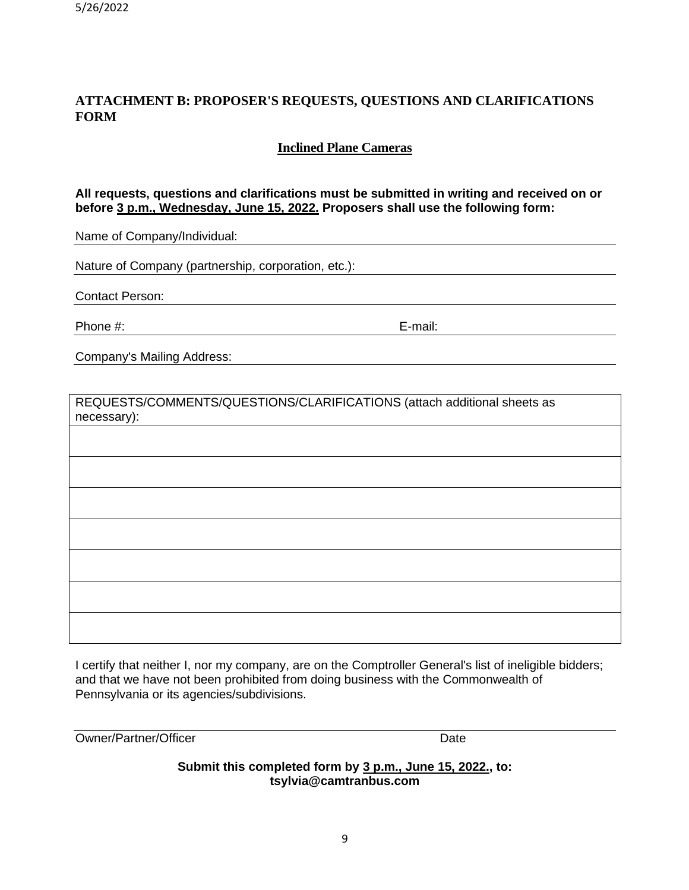## **ATTACHMENT B: PROPOSER'S REQUESTS, QUESTIONS AND CLARIFICATIONS FORM**

## **Inclined Plane Cameras**

### **All requests, questions and clarifications must be submitted in writing and received on or before 3 p.m., Wednesday, June 15, 2022. Proposers shall use the following form:**

Name of Company/Individual:

Nature of Company (partnership, corporation, etc.):

Contact Person:

Phone #: E-mail:

Company's Mailing Address:

REQUESTS/COMMENTS/QUESTIONS/CLARIFICATIONS (attach additional sheets as necessary):

I certify that neither I, nor my company, are on the Comptroller General's list of ineligible bidders; and that we have not been prohibited from doing business with the Commonwealth of Pennsylvania or its agencies/subdivisions.

| Owner/Partner/Officer | Date |
|-----------------------|------|
|-----------------------|------|

**Submit this completed form by 3 p.m., June 15, 2022., to: tsylvia@camtranbus.com**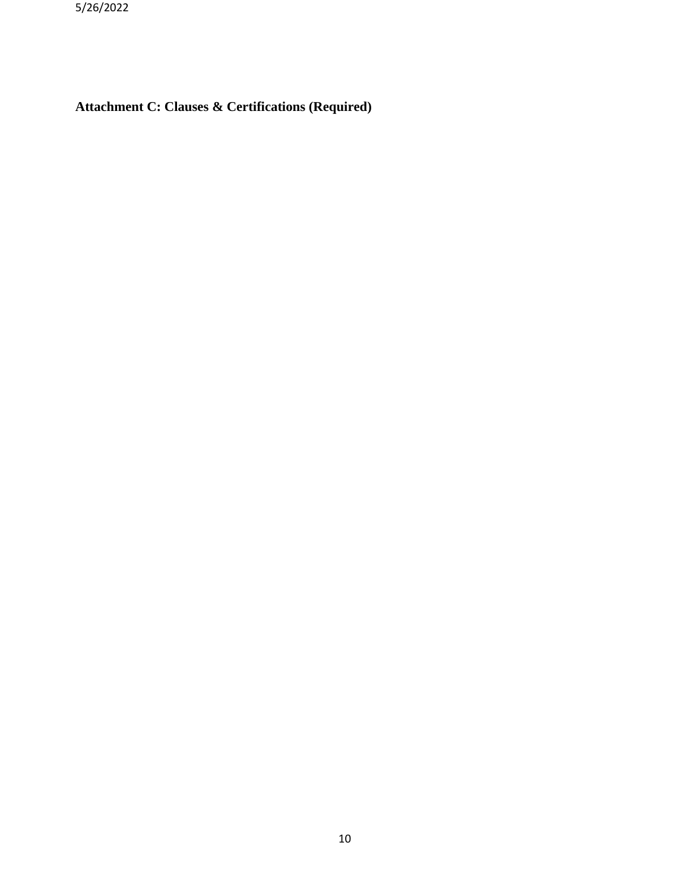5/26/2022

**Attachment C: Clauses & Certifications (Required)**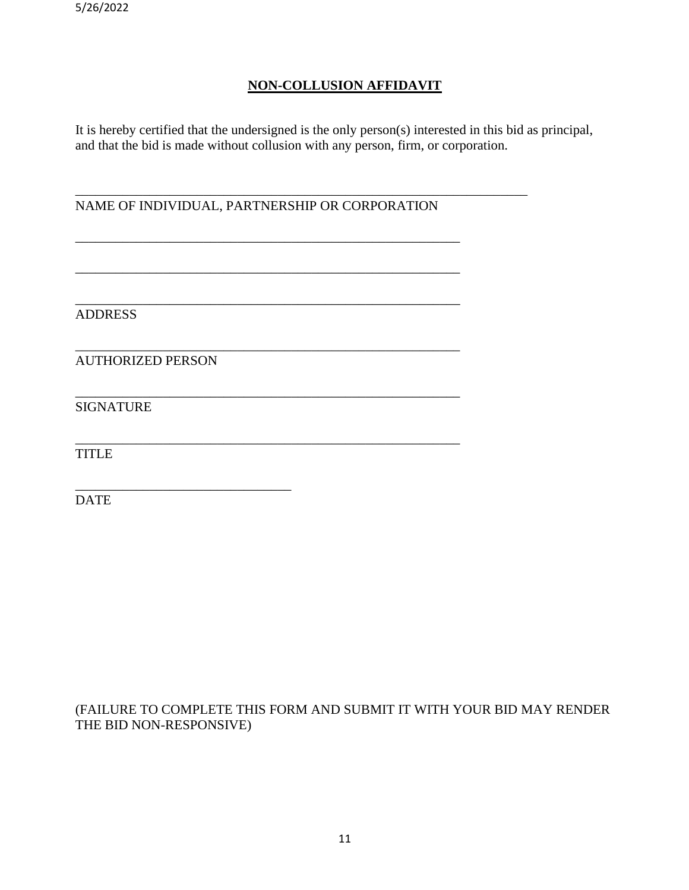## **NON-COLLUSION AFFIDAVIT**

It is hereby certified that the undersigned is the only person(s) interested in this bid as principal, and that the bid is made without collusion with any person, firm, or corporation.

\_\_\_\_\_\_\_\_\_\_\_\_\_\_\_\_\_\_\_\_\_\_\_\_\_\_\_\_\_\_\_\_\_\_\_\_\_\_\_\_\_\_\_\_\_\_\_\_\_\_\_\_\_\_\_\_\_\_\_\_\_\_\_\_\_\_\_ NAME OF INDIVIDUAL, PARTNERSHIP OR CORPORATION

\_\_\_\_\_\_\_\_\_\_\_\_\_\_\_\_\_\_\_\_\_\_\_\_\_\_\_\_\_\_\_\_\_\_\_\_\_\_\_\_\_\_\_\_\_\_\_\_\_\_\_\_\_\_\_\_\_

\_\_\_\_\_\_\_\_\_\_\_\_\_\_\_\_\_\_\_\_\_\_\_\_\_\_\_\_\_\_\_\_\_\_\_\_\_\_\_\_\_\_\_\_\_\_\_\_\_\_\_\_\_\_\_\_\_

\_\_\_\_\_\_\_\_\_\_\_\_\_\_\_\_\_\_\_\_\_\_\_\_\_\_\_\_\_\_\_\_\_\_\_\_\_\_\_\_\_\_\_\_\_\_\_\_\_\_\_\_\_\_\_\_\_

\_\_\_\_\_\_\_\_\_\_\_\_\_\_\_\_\_\_\_\_\_\_\_\_\_\_\_\_\_\_\_\_\_\_\_\_\_\_\_\_\_\_\_\_\_\_\_\_\_\_\_\_\_\_\_\_\_

\_\_\_\_\_\_\_\_\_\_\_\_\_\_\_\_\_\_\_\_\_\_\_\_\_\_\_\_\_\_\_\_\_\_\_\_\_\_\_\_\_\_\_\_\_\_\_\_\_\_\_\_\_\_\_\_\_

\_\_\_\_\_\_\_\_\_\_\_\_\_\_\_\_\_\_\_\_\_\_\_\_\_\_\_\_\_\_\_\_\_\_\_\_\_\_\_\_\_\_\_\_\_\_\_\_\_\_\_\_\_\_\_\_\_

ADDRESS

AUTHORIZED PERSON

\_\_\_\_\_\_\_\_\_\_\_\_\_\_\_\_\_\_\_\_\_\_\_\_\_\_\_\_\_\_\_\_

SIGNATURE

**TITLE** 

DATE

(FAILURE TO COMPLETE THIS FORM AND SUBMIT IT WITH YOUR BID MAY RENDER THE BID NON-RESPONSIVE)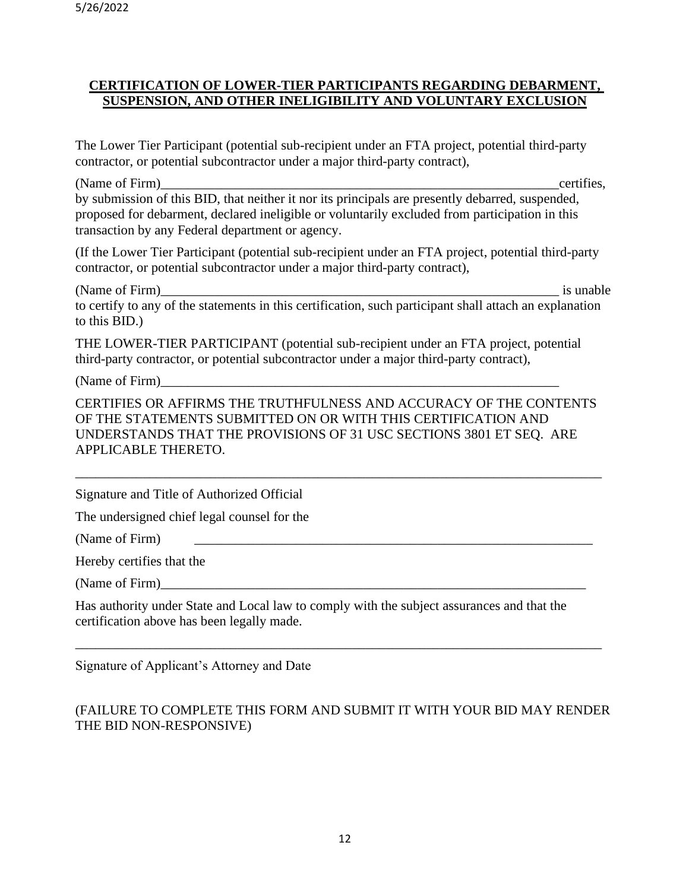## **CERTIFICATION OF LOWER-TIER PARTICIPANTS REGARDING DEBARMENT, SUSPENSION, AND OTHER INELIGIBILITY AND VOLUNTARY EXCLUSION**

The Lower Tier Participant (potential sub-recipient under an FTA project, potential third-party contractor, or potential subcontractor under a major third-party contract),

(Name of Firm)  $\qquad \qquad$  certifies, by submission of this BID, that neither it nor its principals are presently debarred, suspended, proposed for debarment, declared ineligible or voluntarily excluded from participation in this transaction by any Federal department or agency.

(If the Lower Tier Participant (potential sub-recipient under an FTA project, potential third-party contractor, or potential subcontractor under a major third-party contract),

(Name of Firm) is unable to certify to any of the statements in this certification, such participant shall attach an explanation to this BID.)

THE LOWER-TIER PARTICIPANT (potential sub-recipient under an FTA project, potential third-party contractor, or potential subcontractor under a major third-party contract),

(Name of Firm)\_\_\_\_\_\_\_\_\_\_\_\_\_\_\_\_\_\_\_\_\_\_\_\_\_\_\_\_\_\_\_\_\_\_\_\_\_\_\_\_\_\_\_\_\_\_\_\_\_\_\_\_\_\_\_\_\_\_\_

CERTIFIES OR AFFIRMS THE TRUTHFULNESS AND ACCURACY OF THE CONTENTS OF THE STATEMENTS SUBMITTED ON OR WITH THIS CERTIFICATION AND UNDERSTANDS THAT THE PROVISIONS OF 31 USC SECTIONS 3801 ET SEQ. ARE APPLICABLE THERETO.

\_\_\_\_\_\_\_\_\_\_\_\_\_\_\_\_\_\_\_\_\_\_\_\_\_\_\_\_\_\_\_\_\_\_\_\_\_\_\_\_\_\_\_\_\_\_\_\_\_\_\_\_\_\_\_\_\_\_\_\_\_\_\_\_\_\_\_\_\_\_\_\_\_\_\_\_\_\_

Signature and Title of Authorized Official

The undersigned chief legal counsel for the

(Name of Firm)

Hereby certifies that the

(Name of Firm)\_\_\_\_\_\_\_\_\_\_\_\_\_\_\_\_\_\_\_\_\_\_\_\_\_\_\_\_\_\_\_\_\_\_\_\_\_\_\_\_\_\_\_\_\_\_\_\_\_\_\_\_\_\_\_\_\_\_\_\_\_\_\_

Has authority under State and Local law to comply with the subject assurances and that the certification above has been legally made.

Signature of Applicant's Attorney and Date

## (FAILURE TO COMPLETE THIS FORM AND SUBMIT IT WITH YOUR BID MAY RENDER THE BID NON-RESPONSIVE)

\_\_\_\_\_\_\_\_\_\_\_\_\_\_\_\_\_\_\_\_\_\_\_\_\_\_\_\_\_\_\_\_\_\_\_\_\_\_\_\_\_\_\_\_\_\_\_\_\_\_\_\_\_\_\_\_\_\_\_\_\_\_\_\_\_\_\_\_\_\_\_\_\_\_\_\_\_\_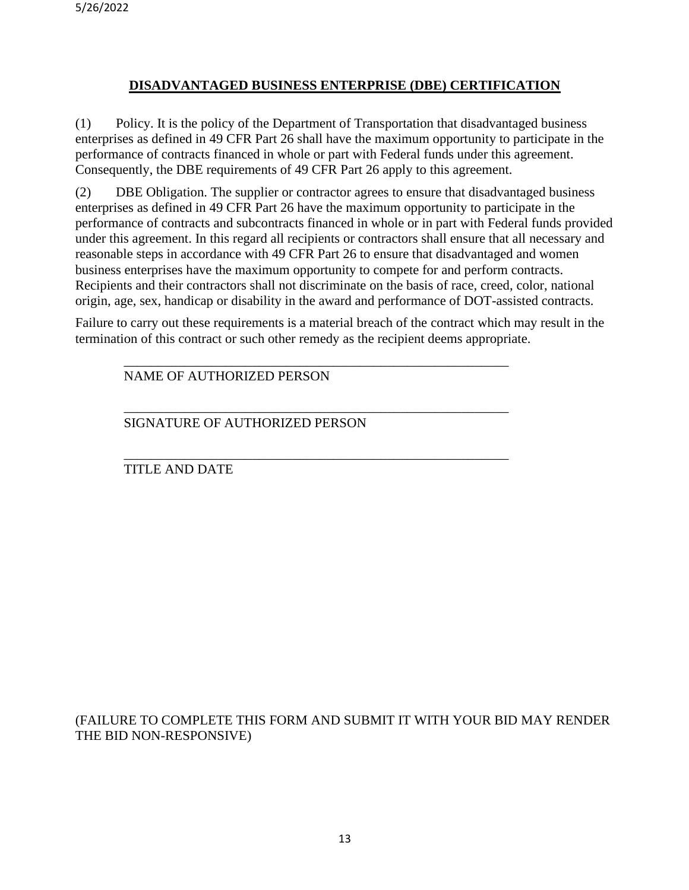## **DISADVANTAGED BUSINESS ENTERPRISE (DBE) CERTIFICATION**

(1) Policy. It is the policy of the Department of Transportation that disadvantaged business enterprises as defined in 49 CFR Part 26 shall have the maximum opportunity to participate in the performance of contracts financed in whole or part with Federal funds under this agreement. Consequently, the DBE requirements of 49 CFR Part 26 apply to this agreement.

(2) DBE Obligation. The supplier or contractor agrees to ensure that disadvantaged business enterprises as defined in 49 CFR Part 26 have the maximum opportunity to participate in the performance of contracts and subcontracts financed in whole or in part with Federal funds provided under this agreement. In this regard all recipients or contractors shall ensure that all necessary and reasonable steps in accordance with 49 CFR Part 26 to ensure that disadvantaged and women business enterprises have the maximum opportunity to compete for and perform contracts. Recipients and their contractors shall not discriminate on the basis of race, creed, color, national origin, age, sex, handicap or disability in the award and performance of DOT-assisted contracts.

Failure to carry out these requirements is a material breach of the contract which may result in the termination of this contract or such other remedy as the recipient deems appropriate.

\_\_\_\_\_\_\_\_\_\_\_\_\_\_\_\_\_\_\_\_\_\_\_\_\_\_\_\_\_\_\_\_\_\_\_\_\_\_\_\_\_\_\_\_\_\_\_\_\_\_\_\_\_\_\_\_\_

\_\_\_\_\_\_\_\_\_\_\_\_\_\_\_\_\_\_\_\_\_\_\_\_\_\_\_\_\_\_\_\_\_\_\_\_\_\_\_\_\_\_\_\_\_\_\_\_\_\_\_\_\_\_\_\_\_

\_\_\_\_\_\_\_\_\_\_\_\_\_\_\_\_\_\_\_\_\_\_\_\_\_\_\_\_\_\_\_\_\_\_\_\_\_\_\_\_\_\_\_\_\_\_\_\_\_\_\_\_\_\_\_\_\_

NAME OF AUTHORIZED PERSON

SIGNATURE OF AUTHORIZED PERSON

TITLE AND DATE

(FAILURE TO COMPLETE THIS FORM AND SUBMIT IT WITH YOUR BID MAY RENDER THE BID NON-RESPONSIVE)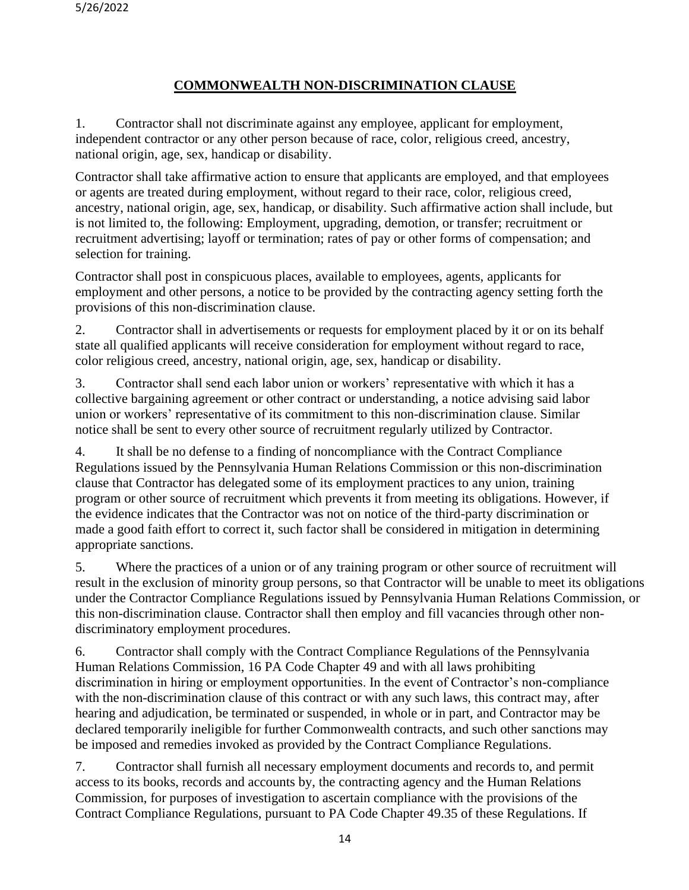## **COMMONWEALTH NON-DISCRIMINATION CLAUSE**

1. Contractor shall not discriminate against any employee, applicant for employment, independent contractor or any other person because of race, color, religious creed, ancestry, national origin, age, sex, handicap or disability.

Contractor shall take affirmative action to ensure that applicants are employed, and that employees or agents are treated during employment, without regard to their race, color, religious creed, ancestry, national origin, age, sex, handicap, or disability. Such affirmative action shall include, but is not limited to, the following: Employment, upgrading, demotion, or transfer; recruitment or recruitment advertising; layoff or termination; rates of pay or other forms of compensation; and selection for training.

Contractor shall post in conspicuous places, available to employees, agents, applicants for employment and other persons, a notice to be provided by the contracting agency setting forth the provisions of this non-discrimination clause.

2. Contractor shall in advertisements or requests for employment placed by it or on its behalf state all qualified applicants will receive consideration for employment without regard to race, color religious creed, ancestry, national origin, age, sex, handicap or disability.

3. Contractor shall send each labor union or workers' representative with which it has a collective bargaining agreement or other contract or understanding, a notice advising said labor union or workers' representative of its commitment to this non-discrimination clause. Similar notice shall be sent to every other source of recruitment regularly utilized by Contractor.

4. It shall be no defense to a finding of noncompliance with the Contract Compliance Regulations issued by the Pennsylvania Human Relations Commission or this non-discrimination clause that Contractor has delegated some of its employment practices to any union, training program or other source of recruitment which prevents it from meeting its obligations. However, if the evidence indicates that the Contractor was not on notice of the third-party discrimination or made a good faith effort to correct it, such factor shall be considered in mitigation in determining appropriate sanctions.

5. Where the practices of a union or of any training program or other source of recruitment will result in the exclusion of minority group persons, so that Contractor will be unable to meet its obligations under the Contractor Compliance Regulations issued by Pennsylvania Human Relations Commission, or this non-discrimination clause. Contractor shall then employ and fill vacancies through other nondiscriminatory employment procedures.

6. Contractor shall comply with the Contract Compliance Regulations of the Pennsylvania Human Relations Commission, 16 PA Code Chapter 49 and with all laws prohibiting discrimination in hiring or employment opportunities. In the event of Contractor's non-compliance with the non-discrimination clause of this contract or with any such laws, this contract may, after hearing and adjudication, be terminated or suspended, in whole or in part, and Contractor may be declared temporarily ineligible for further Commonwealth contracts, and such other sanctions may be imposed and remedies invoked as provided by the Contract Compliance Regulations.

7. Contractor shall furnish all necessary employment documents and records to, and permit access to its books, records and accounts by, the contracting agency and the Human Relations Commission, for purposes of investigation to ascertain compliance with the provisions of the Contract Compliance Regulations, pursuant to PA Code Chapter 49.35 of these Regulations. If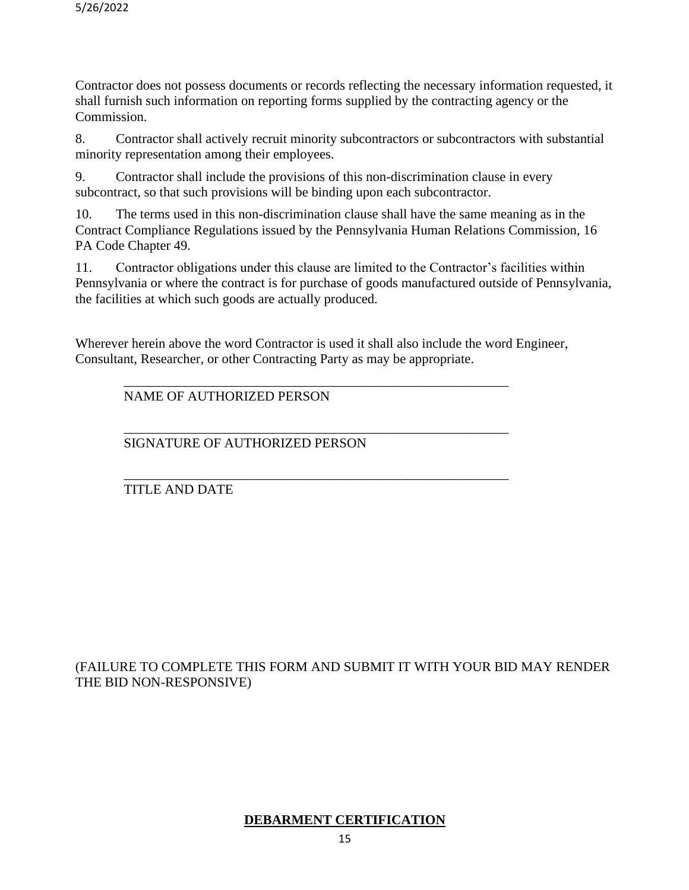Contractor does not possess documents or records reflecting the necessary information requested, it shall furnish such information on reporting forms supplied by the contracting agency or the Commission.

8. Contractor shall actively recruit minority subcontractors or subcontractors with substantial minority representation among their employees.

9. Contractor shall include the provisions of this non-discrimination clause in every subcontract, so that such provisions will be binding upon each subcontractor.

10. The terms used in this non-discrimination clause shall have the same meaning as in the Contract Compliance Regulations issued by the Pennsylvania Human Relations Commission, 16 PA Code Chapter 49.

11. Contractor obligations under this clause are limited to the Contractor's facilities within Pennsylvania or where the contract is for purchase of goods manufactured outside of Pennsylvania, the facilities at which such goods are actually produced.

Wherever herein above the word Contractor is used it shall also include the word Engineer, Consultant, Researcher, or other Contracting Party as may be appropriate.

\_\_\_\_\_\_\_\_\_\_\_\_\_\_\_\_\_\_\_\_\_\_\_\_\_\_\_\_\_\_\_\_\_\_\_\_\_\_\_\_\_\_\_\_\_\_\_\_\_\_\_\_\_\_\_\_\_

\_\_\_\_\_\_\_\_\_\_\_\_\_\_\_\_\_\_\_\_\_\_\_\_\_\_\_\_\_\_\_\_\_\_\_\_\_\_\_\_\_\_\_\_\_\_\_\_\_\_\_\_\_\_\_\_\_

### \_\_\_\_\_\_\_\_\_\_\_\_\_\_\_\_\_\_\_\_\_\_\_\_\_\_\_\_\_\_\_\_\_\_\_\_\_\_\_\_\_\_\_\_\_\_\_\_\_\_\_\_\_\_\_\_\_ NAME OF AUTHORIZED PERSON

SIGNATURE OF AUTHORIZED PERSON

## TITLE AND DATE

(FAILURE TO COMPLETE THIS FORM AND SUBMIT IT WITH YOUR BID MAY RENDER THE BID NON-RESPONSIVE)

## **DEBARMENT CERTIFICATION**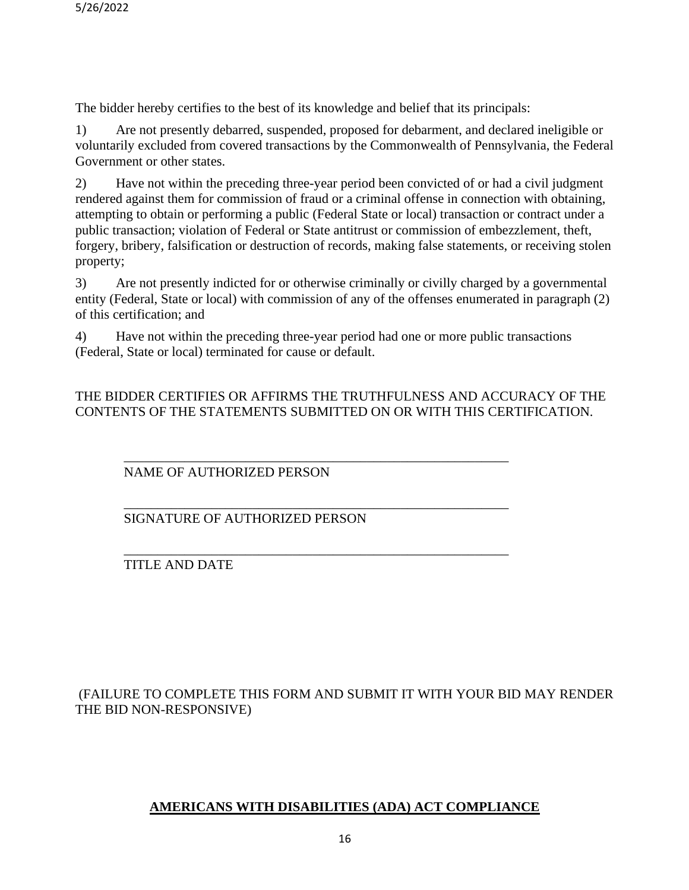The bidder hereby certifies to the best of its knowledge and belief that its principals:

1) Are not presently debarred, suspended, proposed for debarment, and declared ineligible or voluntarily excluded from covered transactions by the Commonwealth of Pennsylvania, the Federal Government or other states.

2) Have not within the preceding three-year period been convicted of or had a civil judgment rendered against them for commission of fraud or a criminal offense in connection with obtaining, attempting to obtain or performing a public (Federal State or local) transaction or contract under a public transaction; violation of Federal or State antitrust or commission of embezzlement, theft, forgery, bribery, falsification or destruction of records, making false statements, or receiving stolen property;

3) Are not presently indicted for or otherwise criminally or civilly charged by a governmental entity (Federal, State or local) with commission of any of the offenses enumerated in paragraph (2) of this certification; and

4) Have not within the preceding three-year period had one or more public transactions (Federal, State or local) terminated for cause or default.

\_\_\_\_\_\_\_\_\_\_\_\_\_\_\_\_\_\_\_\_\_\_\_\_\_\_\_\_\_\_\_\_\_\_\_\_\_\_\_\_\_\_\_\_\_\_\_\_\_\_\_\_\_\_\_\_\_

\_\_\_\_\_\_\_\_\_\_\_\_\_\_\_\_\_\_\_\_\_\_\_\_\_\_\_\_\_\_\_\_\_\_\_\_\_\_\_\_\_\_\_\_\_\_\_\_\_\_\_\_\_\_\_\_\_

THE BIDDER CERTIFIES OR AFFIRMS THE TRUTHFULNESS AND ACCURACY OF THE CONTENTS OF THE STATEMENTS SUBMITTED ON OR WITH THIS CERTIFICATION.

\_\_\_\_\_\_\_\_\_\_\_\_\_\_\_\_\_\_\_\_\_\_\_\_\_\_\_\_\_\_\_\_\_\_\_\_\_\_\_\_\_\_\_\_\_\_\_\_\_\_\_\_\_\_\_\_\_ NAME OF AUTHORIZED PERSON

SIGNATURE OF AUTHORIZED PERSON

TITLE AND DATE

## (FAILURE TO COMPLETE THIS FORM AND SUBMIT IT WITH YOUR BID MAY RENDER THE BID NON-RESPONSIVE)

## **AMERICANS WITH DISABILITIES (ADA) ACT COMPLIANCE**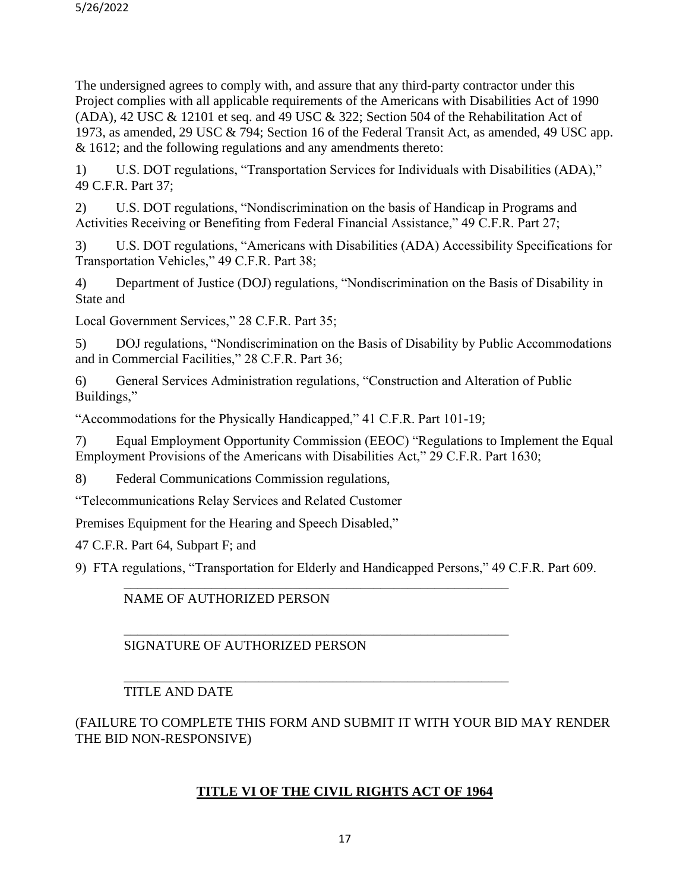The undersigned agrees to comply with, and assure that any third-party contractor under this Project complies with all applicable requirements of the Americans with Disabilities Act of 1990 (ADA), 42 USC & 12101 et seq. and 49 USC & 322; Section 504 of the Rehabilitation Act of 1973, as amended, 29 USC & 794; Section 16 of the Federal Transit Act, as amended, 49 USC app. & 1612; and the following regulations and any amendments thereto:

1) U.S. DOT regulations, "Transportation Services for Individuals with Disabilities (ADA)," 49 C.F.R. Part 37;

2) U.S. DOT regulations, "Nondiscrimination on the basis of Handicap in Programs and Activities Receiving or Benefiting from Federal Financial Assistance," 49 C.F.R. Part 27;

3) U.S. DOT regulations, "Americans with Disabilities (ADA) Accessibility Specifications for Transportation Vehicles," 49 C.F.R. Part 38;

4) Department of Justice (DOJ) regulations, "Nondiscrimination on the Basis of Disability in State and

Local Government Services," 28 C.F.R. Part 35;

5) DOJ regulations, "Nondiscrimination on the Basis of Disability by Public Accommodations and in Commercial Facilities," 28 C.F.R. Part 36;

6) General Services Administration regulations, "Construction and Alteration of Public Buildings,"

"Accommodations for the Physically Handicapped," 41 C.F.R. Part 101-19;

7) Equal Employment Opportunity Commission (EEOC) "Regulations to Implement the Equal Employment Provisions of the Americans with Disabilities Act," 29 C.F.R. Part 1630;

8) Federal Communications Commission regulations,

"Telecommunications Relay Services and Related Customer

Premises Equipment for the Hearing and Speech Disabled,"

47 C.F.R. Part 64, Subpart F; and

9) FTA regulations, "Transportation for Elderly and Handicapped Persons," 49 C.F.R. Part 609.

## \_\_\_\_\_\_\_\_\_\_\_\_\_\_\_\_\_\_\_\_\_\_\_\_\_\_\_\_\_\_\_\_\_\_\_\_\_\_\_\_\_\_\_\_\_\_\_\_\_\_\_\_\_\_\_\_\_ NAME OF AUTHORIZED PERSON

### \_\_\_\_\_\_\_\_\_\_\_\_\_\_\_\_\_\_\_\_\_\_\_\_\_\_\_\_\_\_\_\_\_\_\_\_\_\_\_\_\_\_\_\_\_\_\_\_\_\_\_\_\_\_\_\_\_ SIGNATURE OF AUTHORIZED PERSON

### \_\_\_\_\_\_\_\_\_\_\_\_\_\_\_\_\_\_\_\_\_\_\_\_\_\_\_\_\_\_\_\_\_\_\_\_\_\_\_\_\_\_\_\_\_\_\_\_\_\_\_\_\_\_\_\_\_ TITLE AND DATE

## (FAILURE TO COMPLETE THIS FORM AND SUBMIT IT WITH YOUR BID MAY RENDER THE BID NON-RESPONSIVE)

## **TITLE VI OF THE CIVIL RIGHTS ACT OF 1964**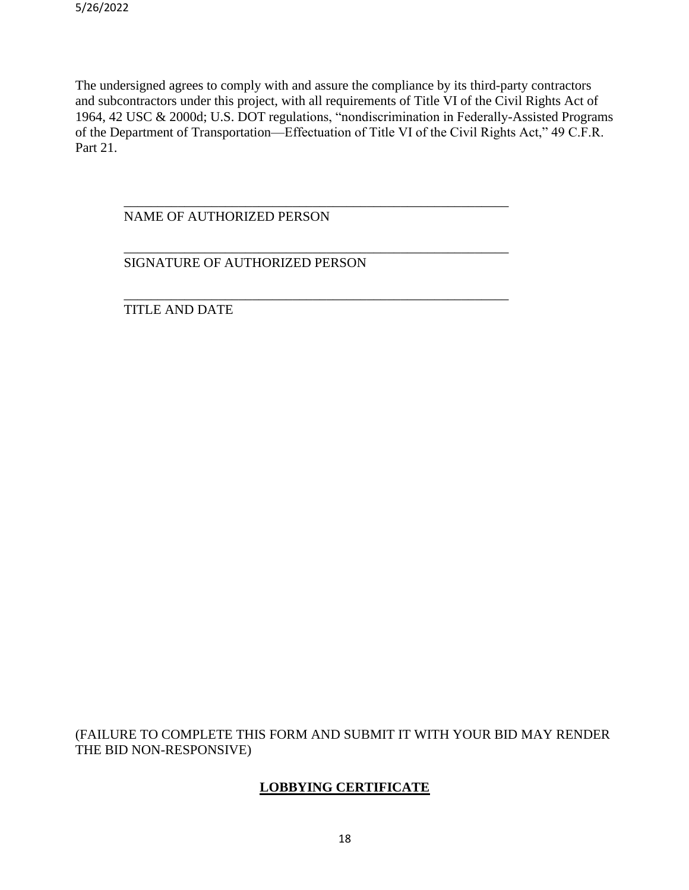The undersigned agrees to comply with and assure the compliance by its third-party contractors and subcontractors under this project, with all requirements of Title VI of the Civil Rights Act of 1964, 42 USC & 2000d; U.S. DOT regulations, "nondiscrimination in Federally-Assisted Programs of the Department of Transportation—Effectuation of Title VI of the Civil Rights Act," 49 C.F.R. Part 21.

\_\_\_\_\_\_\_\_\_\_\_\_\_\_\_\_\_\_\_\_\_\_\_\_\_\_\_\_\_\_\_\_\_\_\_\_\_\_\_\_\_\_\_\_\_\_\_\_\_\_\_\_\_\_\_\_\_

\_\_\_\_\_\_\_\_\_\_\_\_\_\_\_\_\_\_\_\_\_\_\_\_\_\_\_\_\_\_\_\_\_\_\_\_\_\_\_\_\_\_\_\_\_\_\_\_\_\_\_\_\_\_\_\_\_

\_\_\_\_\_\_\_\_\_\_\_\_\_\_\_\_\_\_\_\_\_\_\_\_\_\_\_\_\_\_\_\_\_\_\_\_\_\_\_\_\_\_\_\_\_\_\_\_\_\_\_\_\_\_\_\_\_

NAME OF AUTHORIZED PERSON

SIGNATURE OF AUTHORIZED PERSON

TITLE AND DATE

(FAILURE TO COMPLETE THIS FORM AND SUBMIT IT WITH YOUR BID MAY RENDER THE BID NON-RESPONSIVE)

## **LOBBYING CERTIFICATE**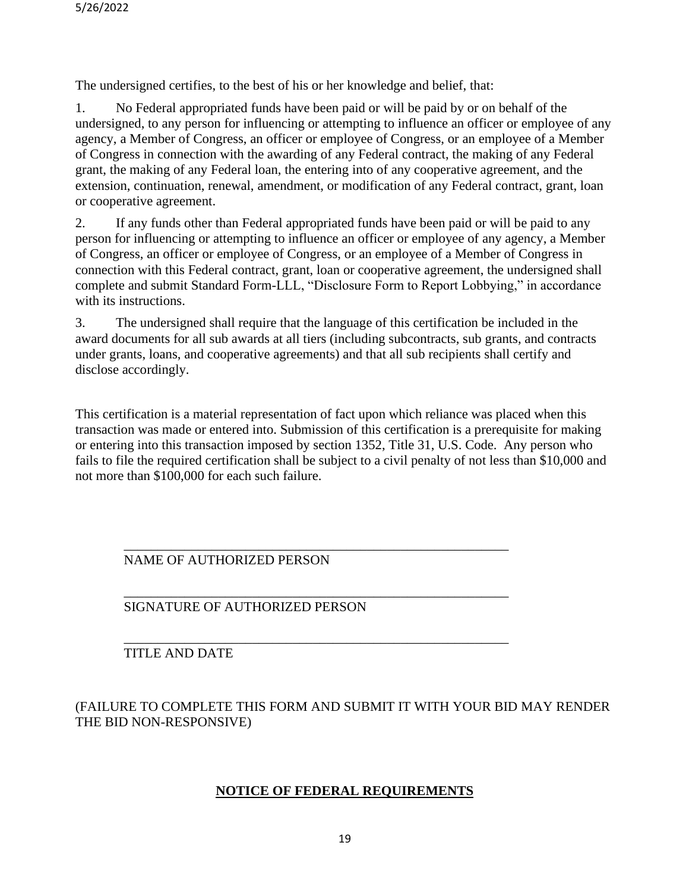The undersigned certifies, to the best of his or her knowledge and belief, that:

1. No Federal appropriated funds have been paid or will be paid by or on behalf of the undersigned, to any person for influencing or attempting to influence an officer or employee of any agency, a Member of Congress, an officer or employee of Congress, or an employee of a Member of Congress in connection with the awarding of any Federal contract, the making of any Federal grant, the making of any Federal loan, the entering into of any cooperative agreement, and the extension, continuation, renewal, amendment, or modification of any Federal contract, grant, loan or cooperative agreement.

2. If any funds other than Federal appropriated funds have been paid or will be paid to any person for influencing or attempting to influence an officer or employee of any agency, a Member of Congress, an officer or employee of Congress, or an employee of a Member of Congress in connection with this Federal contract, grant, loan or cooperative agreement, the undersigned shall complete and submit Standard Form-LLL, "Disclosure Form to Report Lobbying," in accordance with its instructions.

3. The undersigned shall require that the language of this certification be included in the award documents for all sub awards at all tiers (including subcontracts, sub grants, and contracts under grants, loans, and cooperative agreements) and that all sub recipients shall certify and disclose accordingly.

This certification is a material representation of fact upon which reliance was placed when this transaction was made or entered into. Submission of this certification is a prerequisite for making or entering into this transaction imposed by section 1352, Title 31, U.S. Code. Any person who fails to file the required certification shall be subject to a civil penalty of not less than \$10,000 and not more than \$100,000 for each such failure.

### \_\_\_\_\_\_\_\_\_\_\_\_\_\_\_\_\_\_\_\_\_\_\_\_\_\_\_\_\_\_\_\_\_\_\_\_\_\_\_\_\_\_\_\_\_\_\_\_\_\_\_\_\_\_\_\_\_ NAME OF AUTHORIZED PERSON

### \_\_\_\_\_\_\_\_\_\_\_\_\_\_\_\_\_\_\_\_\_\_\_\_\_\_\_\_\_\_\_\_\_\_\_\_\_\_\_\_\_\_\_\_\_\_\_\_\_\_\_\_\_\_\_\_\_ SIGNATURE OF AUTHORIZED PERSON

### TITLE AND DATE

(FAILURE TO COMPLETE THIS FORM AND SUBMIT IT WITH YOUR BID MAY RENDER THE BID NON-RESPONSIVE)

\_\_\_\_\_\_\_\_\_\_\_\_\_\_\_\_\_\_\_\_\_\_\_\_\_\_\_\_\_\_\_\_\_\_\_\_\_\_\_\_\_\_\_\_\_\_\_\_\_\_\_\_\_\_\_\_\_

## **NOTICE OF FEDERAL REQUIREMENTS**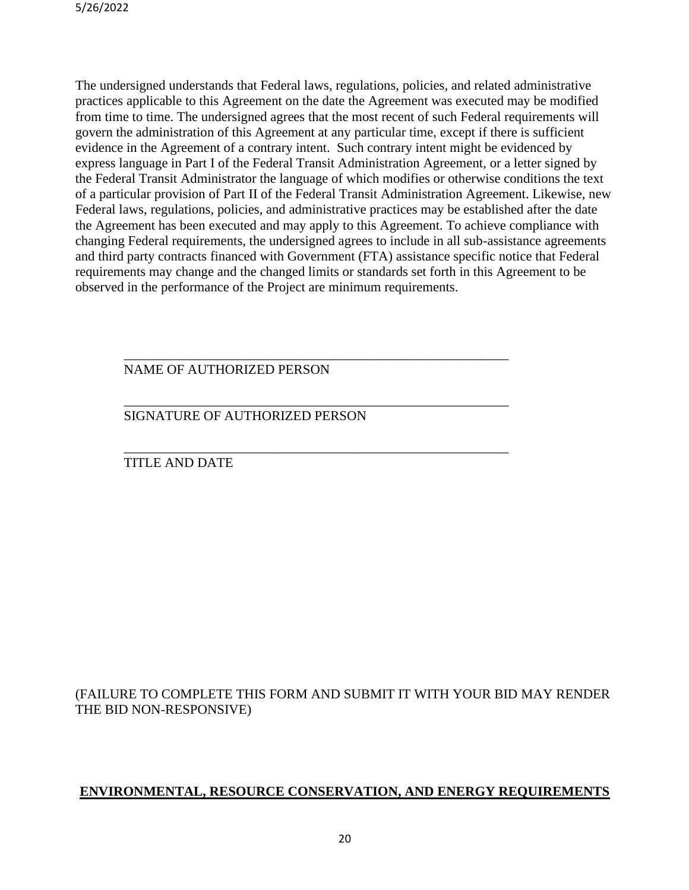The undersigned understands that Federal laws, regulations, policies, and related administrative practices applicable to this Agreement on the date the Agreement was executed may be modified from time to time. The undersigned agrees that the most recent of such Federal requirements will govern the administration of this Agreement at any particular time, except if there is sufficient evidence in the Agreement of a contrary intent. Such contrary intent might be evidenced by express language in Part I of the Federal Transit Administration Agreement, or a letter signed by the Federal Transit Administrator the language of which modifies or otherwise conditions the text of a particular provision of Part II of the Federal Transit Administration Agreement. Likewise, new Federal laws, regulations, policies, and administrative practices may be established after the date the Agreement has been executed and may apply to this Agreement. To achieve compliance with changing Federal requirements, the undersigned agrees to include in all sub-assistance agreements and third party contracts financed with Government (FTA) assistance specific notice that Federal requirements may change and the changed limits or standards set forth in this Agreement to be observed in the performance of the Project are minimum requirements.

\_\_\_\_\_\_\_\_\_\_\_\_\_\_\_\_\_\_\_\_\_\_\_\_\_\_\_\_\_\_\_\_\_\_\_\_\_\_\_\_\_\_\_\_\_\_\_\_\_\_\_\_\_\_\_\_\_

\_\_\_\_\_\_\_\_\_\_\_\_\_\_\_\_\_\_\_\_\_\_\_\_\_\_\_\_\_\_\_\_\_\_\_\_\_\_\_\_\_\_\_\_\_\_\_\_\_\_\_\_\_\_\_\_\_

\_\_\_\_\_\_\_\_\_\_\_\_\_\_\_\_\_\_\_\_\_\_\_\_\_\_\_\_\_\_\_\_\_\_\_\_\_\_\_\_\_\_\_\_\_\_\_\_\_\_\_\_\_\_\_\_\_

### NAME OF AUTHORIZED PERSON

## SIGNATURE OF AUTHORIZED PERSON

### TITLE AND DATE

## (FAILURE TO COMPLETE THIS FORM AND SUBMIT IT WITH YOUR BID MAY RENDER THE BID NON-RESPONSIVE)

## **ENVIRONMENTAL, RESOURCE CONSERVATION, AND ENERGY REQUIREMENTS**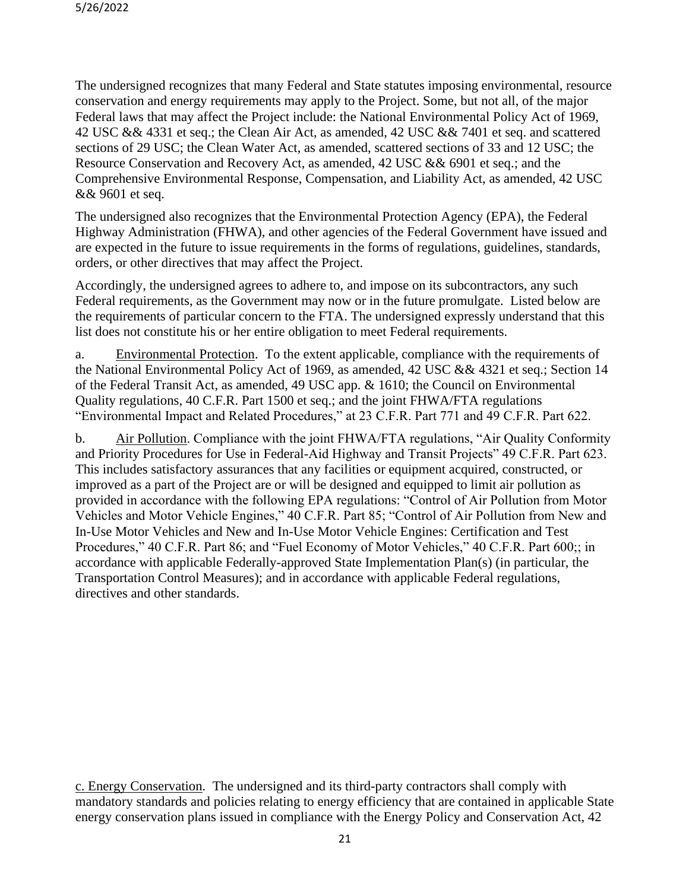The undersigned recognizes that many Federal and State statutes imposing environmental, resource conservation and energy requirements may apply to the Project. Some, but not all, of the major Federal laws that may affect the Project include: the National Environmental Policy Act of 1969, 42 USC && 4331 et seq.; the Clean Air Act, as amended, 42 USC && 7401 et seq. and scattered sections of 29 USC; the Clean Water Act, as amended, scattered sections of 33 and 12 USC; the Resource Conservation and Recovery Act, as amended, 42 USC && 6901 et seq.; and the Comprehensive Environmental Response, Compensation, and Liability Act, as amended, 42 USC && 9601 et seq.

The undersigned also recognizes that the Environmental Protection Agency (EPA), the Federal Highway Administration (FHWA), and other agencies of the Federal Government have issued and are expected in the future to issue requirements in the forms of regulations, guidelines, standards, orders, or other directives that may affect the Project.

Accordingly, the undersigned agrees to adhere to, and impose on its subcontractors, any such Federal requirements, as the Government may now or in the future promulgate. Listed below are the requirements of particular concern to the FTA. The undersigned expressly understand that this list does not constitute his or her entire obligation to meet Federal requirements.

a. Environmental Protection. To the extent applicable, compliance with the requirements of the National Environmental Policy Act of 1969, as amended, 42 USC && 4321 et seq.; Section 14 of the Federal Transit Act, as amended, 49 USC app. & 1610; the Council on Environmental Quality regulations, 40 C.F.R. Part 1500 et seq.; and the joint FHWA/FTA regulations "Environmental Impact and Related Procedures," at 23 C.F.R. Part 771 and 49 C.F.R. Part 622.

b. Air Pollution. Compliance with the joint FHWA/FTA regulations, "Air Quality Conformity and Priority Procedures for Use in Federal-Aid Highway and Transit Projects" 49 C.F.R. Part 623. This includes satisfactory assurances that any facilities or equipment acquired, constructed, or improved as a part of the Project are or will be designed and equipped to limit air pollution as provided in accordance with the following EPA regulations: "Control of Air Pollution from Motor Vehicles and Motor Vehicle Engines," 40 C.F.R. Part 85; "Control of Air Pollution from New and In-Use Motor Vehicles and New and In-Use Motor Vehicle Engines: Certification and Test Procedures," 40 C.F.R. Part 86; and "Fuel Economy of Motor Vehicles," 40 C.F.R. Part 600;; in accordance with applicable Federally-approved State Implementation Plan(s) (in particular, the Transportation Control Measures); and in accordance with applicable Federal regulations, directives and other standards.

c. Energy Conservation. The undersigned and its third-party contractors shall comply with mandatory standards and policies relating to energy efficiency that are contained in applicable State energy conservation plans issued in compliance with the Energy Policy and Conservation Act, 42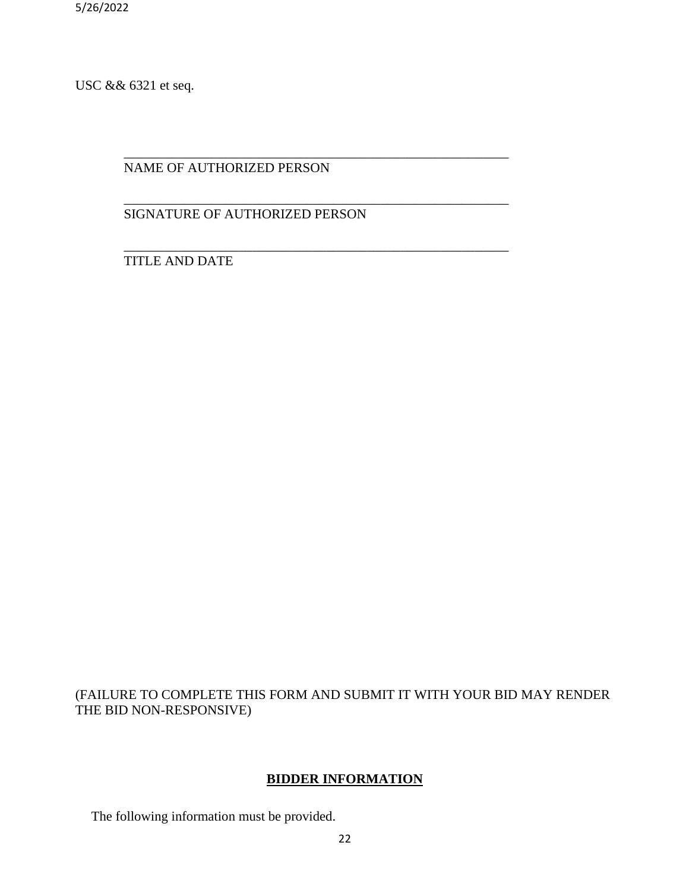USC && 6321 et seq.

NAME OF AUTHORIZED PERSON

SIGNATURE OF AUTHORIZED PERSON

\_\_\_\_\_\_\_\_\_\_\_\_\_\_\_\_\_\_\_\_\_\_\_\_\_\_\_\_\_\_\_\_\_\_\_\_\_\_\_\_\_\_\_\_\_\_\_\_\_\_\_\_\_\_\_\_\_

\_\_\_\_\_\_\_\_\_\_\_\_\_\_\_\_\_\_\_\_\_\_\_\_\_\_\_\_\_\_\_\_\_\_\_\_\_\_\_\_\_\_\_\_\_\_\_\_\_\_\_\_\_\_\_\_\_

\_\_\_\_\_\_\_\_\_\_\_\_\_\_\_\_\_\_\_\_\_\_\_\_\_\_\_\_\_\_\_\_\_\_\_\_\_\_\_\_\_\_\_\_\_\_\_\_\_\_\_\_\_\_\_\_\_ TITLE AND DATE

## (FAILURE TO COMPLETE THIS FORM AND SUBMIT IT WITH YOUR BID MAY RENDER THE BID NON-RESPONSIVE)

## **BIDDER INFORMATION**

The following information must be provided.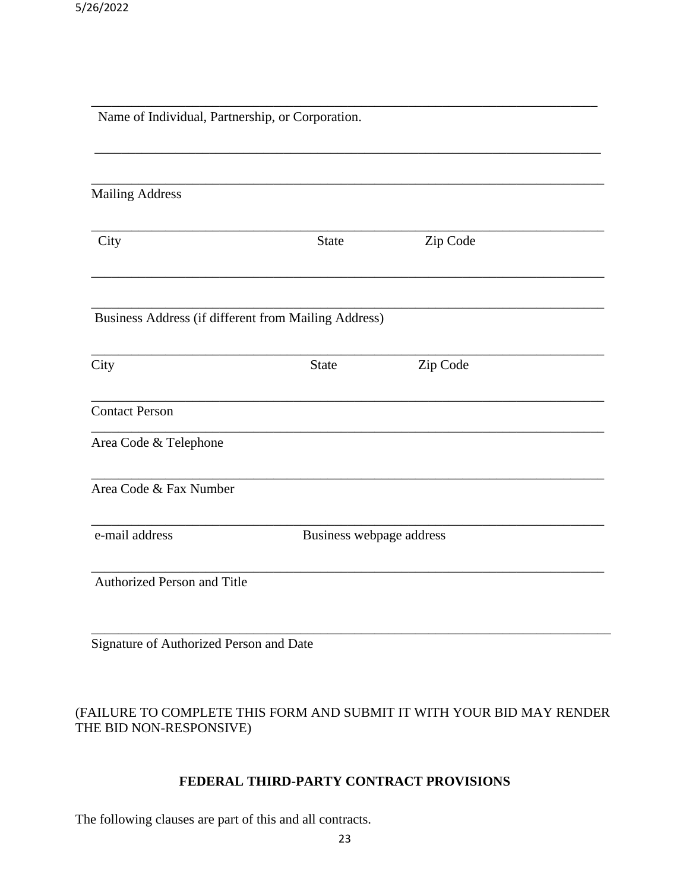| Name of Individual, Partnership, or Corporation.     |              |                          |  |  |  |  |
|------------------------------------------------------|--------------|--------------------------|--|--|--|--|
|                                                      |              |                          |  |  |  |  |
| <b>Mailing Address</b>                               |              |                          |  |  |  |  |
| City                                                 | <b>State</b> | Zip Code                 |  |  |  |  |
| Business Address (if different from Mailing Address) |              |                          |  |  |  |  |
| City                                                 | <b>State</b> | Zip Code                 |  |  |  |  |
| <b>Contact Person</b>                                |              |                          |  |  |  |  |
| Area Code & Telephone                                |              |                          |  |  |  |  |
| Area Code & Fax Number                               |              |                          |  |  |  |  |
| e-mail address                                       |              | Business webpage address |  |  |  |  |
| Authorized Person and Title                          |              |                          |  |  |  |  |
|                                                      |              |                          |  |  |  |  |

## (FAILURE TO COMPLETE THIS FORM AND SUBMIT IT WITH YOUR BID MAY RENDER THE BID NON-RESPONSIVE)

## **FEDERAL THIRD-PARTY CONTRACT PROVISIONS**

The following clauses are part of this and all contracts.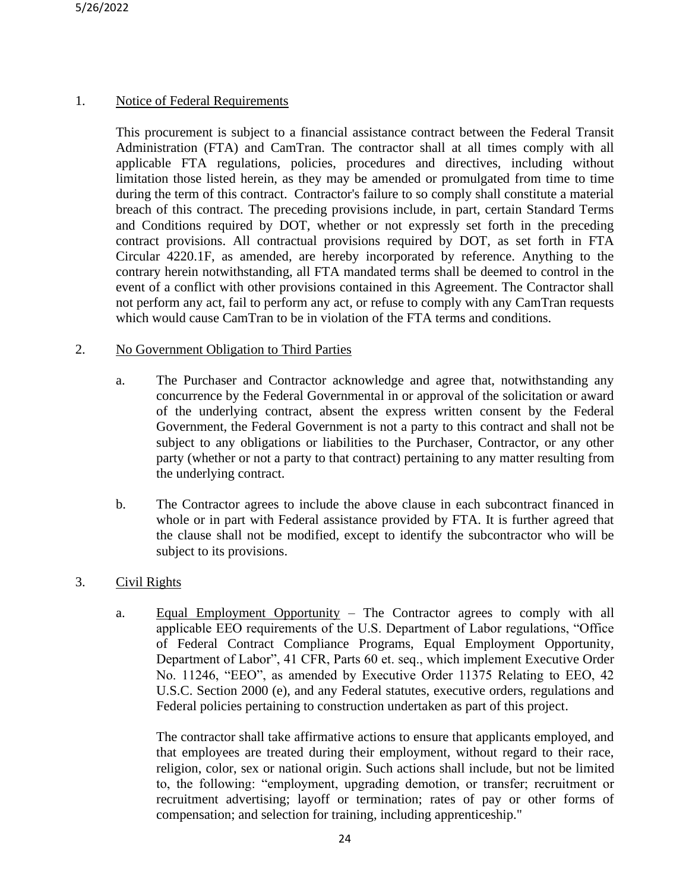## 1. Notice of Federal Requirements

This procurement is subject to a financial assistance contract between the Federal Transit Administration (FTA) and CamTran. The contractor shall at all times comply with all applicable FTA regulations, policies, procedures and directives, including without limitation those listed herein, as they may be amended or promulgated from time to time during the term of this contract. Contractor's failure to so comply shall constitute a material breach of this contract. The preceding provisions include, in part, certain Standard Terms and Conditions required by DOT, whether or not expressly set forth in the preceding contract provisions. All contractual provisions required by DOT, as set forth in FTA Circular 4220.1F, as amended, are hereby incorporated by reference. Anything to the contrary herein notwithstanding, all FTA mandated terms shall be deemed to control in the event of a conflict with other provisions contained in this Agreement. The Contractor shall not perform any act, fail to perform any act, or refuse to comply with any CamTran requests which would cause CamTran to be in violation of the FTA terms and conditions.

### 2. No Government Obligation to Third Parties

- a. The Purchaser and Contractor acknowledge and agree that, notwithstanding any concurrence by the Federal Governmental in or approval of the solicitation or award of the underlying contract, absent the express written consent by the Federal Government, the Federal Government is not a party to this contract and shall not be subject to any obligations or liabilities to the Purchaser, Contractor, or any other party (whether or not a party to that contract) pertaining to any matter resulting from the underlying contract.
- b. The Contractor agrees to include the above clause in each subcontract financed in whole or in part with Federal assistance provided by FTA. It is further agreed that the clause shall not be modified, except to identify the subcontractor who will be subject to its provisions.

## 3. Civil Rights

a. Equal Employment Opportunity – The Contractor agrees to comply with all applicable EEO requirements of the U.S. Department of Labor regulations, "Office of Federal Contract Compliance Programs, Equal Employment Opportunity, Department of Labor", 41 CFR, Parts 60 et. seq., which implement Executive Order No. 11246, "EEO", as amended by Executive Order 11375 Relating to EEO, 42 U.S.C. Section 2000 (e), and any Federal statutes, executive orders, regulations and Federal policies pertaining to construction undertaken as part of this project.

The contractor shall take affirmative actions to ensure that applicants employed, and that employees are treated during their employment, without regard to their race, religion, color, sex or national origin. Such actions shall include, but not be limited to, the following: "employment, upgrading demotion, or transfer; recruitment or recruitment advertising; layoff or termination; rates of pay or other forms of compensation; and selection for training, including apprenticeship."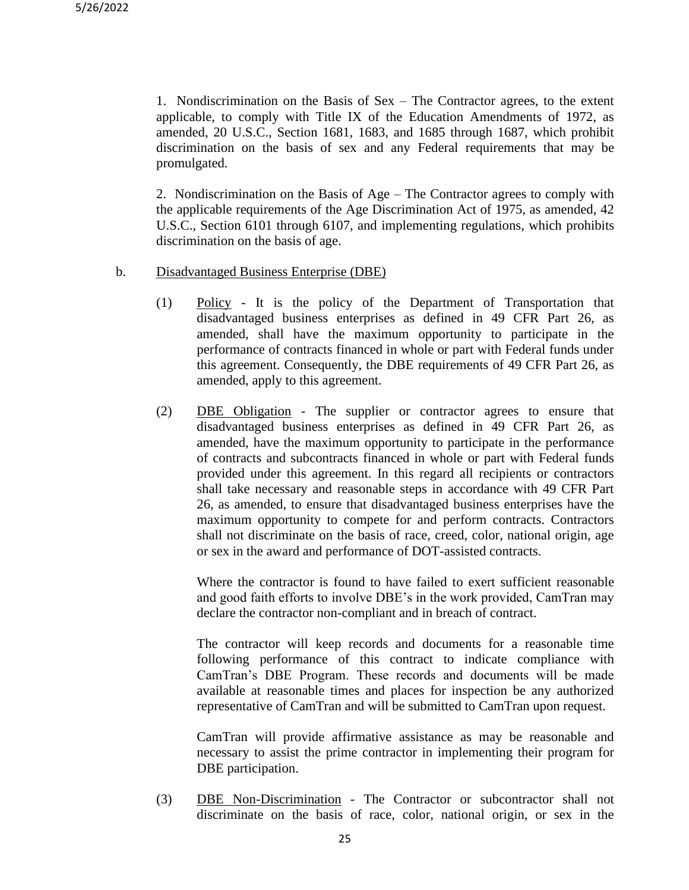1. Nondiscrimination on the Basis of Sex – The Contractor agrees, to the extent applicable, to comply with Title IX of the Education Amendments of 1972, as amended, 20 U.S.C., Section 1681, 1683, and 1685 through 1687, which prohibit discrimination on the basis of sex and any Federal requirements that may be promulgated.

2. Nondiscrimination on the Basis of Age – The Contractor agrees to comply with the applicable requirements of the Age Discrimination Act of 1975, as amended, 42 U.S.C., Section 6101 through 6107, and implementing regulations, which prohibits discrimination on the basis of age.

- b. Disadvantaged Business Enterprise (DBE)
	- (1) Policy It is the policy of the Department of Transportation that disadvantaged business enterprises as defined in 49 CFR Part 26, as amended, shall have the maximum opportunity to participate in the performance of contracts financed in whole or part with Federal funds under this agreement. Consequently, the DBE requirements of 49 CFR Part 26, as amended, apply to this agreement.
	- (2) DBE Obligation The supplier or contractor agrees to ensure that disadvantaged business enterprises as defined in 49 CFR Part 26, as amended, have the maximum opportunity to participate in the performance of contracts and subcontracts financed in whole or part with Federal funds provided under this agreement. In this regard all recipients or contractors shall take necessary and reasonable steps in accordance with 49 CFR Part 26, as amended, to ensure that disadvantaged business enterprises have the maximum opportunity to compete for and perform contracts. Contractors shall not discriminate on the basis of race, creed, color, national origin, age or sex in the award and performance of DOT-assisted contracts.

Where the contractor is found to have failed to exert sufficient reasonable and good faith efforts to involve DBE's in the work provided, CamTran may declare the contractor non-compliant and in breach of contract.

The contractor will keep records and documents for a reasonable time following performance of this contract to indicate compliance with CamTran's DBE Program. These records and documents will be made available at reasonable times and places for inspection be any authorized representative of CamTran and will be submitted to CamTran upon request.

CamTran will provide affirmative assistance as may be reasonable and necessary to assist the prime contractor in implementing their program for DBE participation.

(3) DBE Non-Discrimination - The Contractor or subcontractor shall not discriminate on the basis of race, color, national origin, or sex in the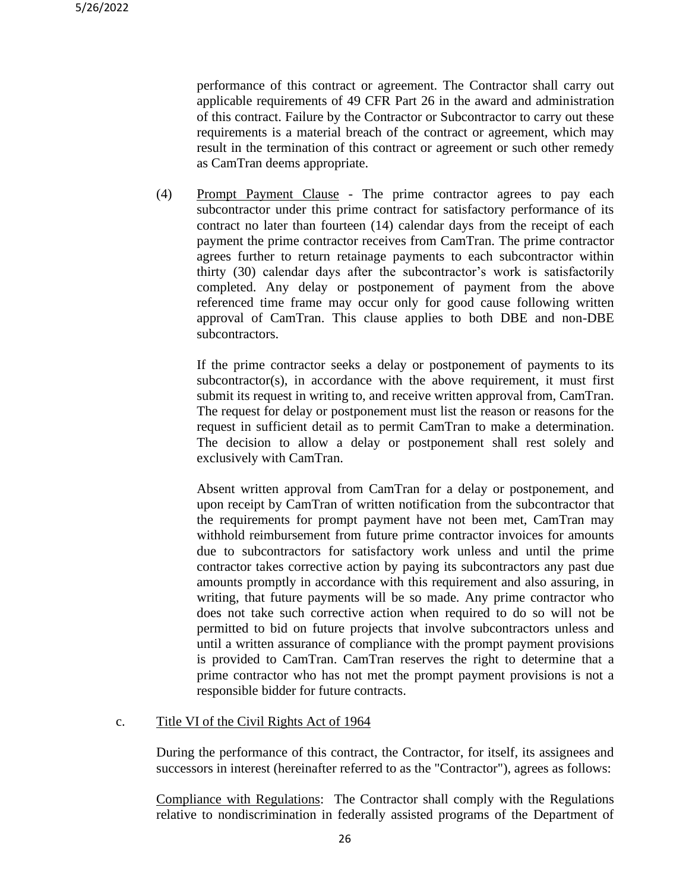performance of this contract or agreement. The Contractor shall carry out applicable requirements of 49 CFR Part 26 in the award and administration of this contract. Failure by the Contractor or Subcontractor to carry out these requirements is a material breach of the contract or agreement, which may result in the termination of this contract or agreement or such other remedy as CamTran deems appropriate.

(4) Prompt Payment Clause - The prime contractor agrees to pay each subcontractor under this prime contract for satisfactory performance of its contract no later than fourteen (14) calendar days from the receipt of each payment the prime contractor receives from CamTran. The prime contractor agrees further to return retainage payments to each subcontractor within thirty (30) calendar days after the subcontractor's work is satisfactorily completed. Any delay or postponement of payment from the above referenced time frame may occur only for good cause following written approval of CamTran. This clause applies to both DBE and non-DBE subcontractors.

If the prime contractor seeks a delay or postponement of payments to its subcontractor(s), in accordance with the above requirement, it must first submit its request in writing to, and receive written approval from, CamTran. The request for delay or postponement must list the reason or reasons for the request in sufficient detail as to permit CamTran to make a determination. The decision to allow a delay or postponement shall rest solely and exclusively with CamTran.

Absent written approval from CamTran for a delay or postponement, and upon receipt by CamTran of written notification from the subcontractor that the requirements for prompt payment have not been met, CamTran may withhold reimbursement from future prime contractor invoices for amounts due to subcontractors for satisfactory work unless and until the prime contractor takes corrective action by paying its subcontractors any past due amounts promptly in accordance with this requirement and also assuring, in writing, that future payments will be so made. Any prime contractor who does not take such corrective action when required to do so will not be permitted to bid on future projects that involve subcontractors unless and until a written assurance of compliance with the prompt payment provisions is provided to CamTran. CamTran reserves the right to determine that a prime contractor who has not met the prompt payment provisions is not a responsible bidder for future contracts.

### c. Title VI of the Civil Rights Act of 1964

During the performance of this contract, the Contractor, for itself, its assignees and successors in interest (hereinafter referred to as the "Contractor"), agrees as follows:

Compliance with Regulations: The Contractor shall comply with the Regulations relative to nondiscrimination in federally assisted programs of the Department of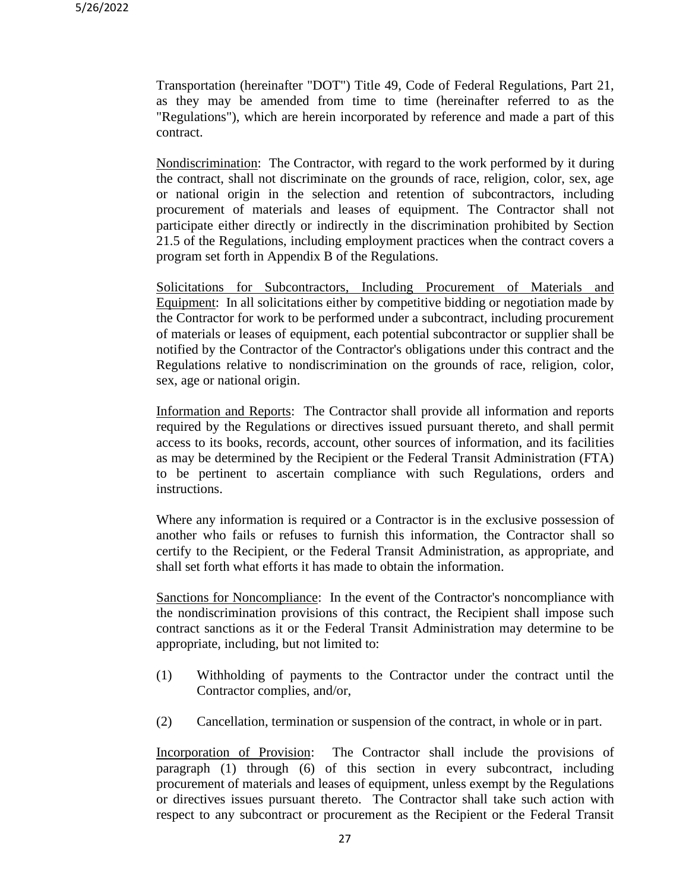Transportation (hereinafter "DOT") Title 49, Code of Federal Regulations, Part 21, as they may be amended from time to time (hereinafter referred to as the "Regulations"), which are herein incorporated by reference and made a part of this contract.

Nondiscrimination: The Contractor, with regard to the work performed by it during the contract, shall not discriminate on the grounds of race, religion, color, sex, age or national origin in the selection and retention of subcontractors, including procurement of materials and leases of equipment. The Contractor shall not participate either directly or indirectly in the discrimination prohibited by Section 21.5 of the Regulations, including employment practices when the contract covers a program set forth in Appendix B of the Regulations.

Solicitations for Subcontractors, Including Procurement of Materials and Equipment: In all solicitations either by competitive bidding or negotiation made by the Contractor for work to be performed under a subcontract, including procurement of materials or leases of equipment, each potential subcontractor or supplier shall be notified by the Contractor of the Contractor's obligations under this contract and the Regulations relative to nondiscrimination on the grounds of race, religion, color, sex, age or national origin.

Information and Reports: The Contractor shall provide all information and reports required by the Regulations or directives issued pursuant thereto, and shall permit access to its books, records, account, other sources of information, and its facilities as may be determined by the Recipient or the Federal Transit Administration (FTA) to be pertinent to ascertain compliance with such Regulations, orders and instructions.

Where any information is required or a Contractor is in the exclusive possession of another who fails or refuses to furnish this information, the Contractor shall so certify to the Recipient, or the Federal Transit Administration, as appropriate, and shall set forth what efforts it has made to obtain the information.

Sanctions for Noncompliance: In the event of the Contractor's noncompliance with the nondiscrimination provisions of this contract, the Recipient shall impose such contract sanctions as it or the Federal Transit Administration may determine to be appropriate, including, but not limited to:

- (1) Withholding of payments to the Contractor under the contract until the Contractor complies, and/or,
- (2) Cancellation, termination or suspension of the contract, in whole or in part.

Incorporation of Provision: The Contractor shall include the provisions of paragraph (1) through (6) of this section in every subcontract, including procurement of materials and leases of equipment, unless exempt by the Regulations or directives issues pursuant thereto. The Contractor shall take such action with respect to any subcontract or procurement as the Recipient or the Federal Transit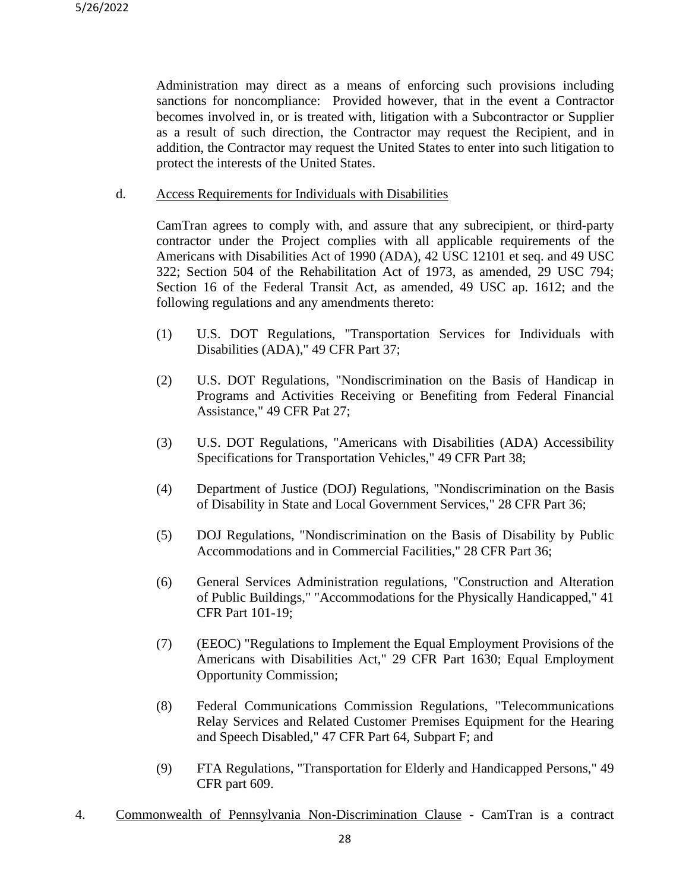Administration may direct as a means of enforcing such provisions including sanctions for noncompliance: Provided however, that in the event a Contractor becomes involved in, or is treated with, litigation with a Subcontractor or Supplier as a result of such direction, the Contractor may request the Recipient, and in addition, the Contractor may request the United States to enter into such litigation to protect the interests of the United States.

d. Access Requirements for Individuals with Disabilities

CamTran agrees to comply with, and assure that any subrecipient, or third-party contractor under the Project complies with all applicable requirements of the Americans with Disabilities Act of 1990 (ADA), 42 USC 12101 et seq. and 49 USC 322; Section 504 of the Rehabilitation Act of 1973, as amended, 29 USC 794; Section 16 of the Federal Transit Act, as amended, 49 USC ap. 1612; and the following regulations and any amendments thereto:

- (1) U.S. DOT Regulations, "Transportation Services for Individuals with Disabilities (ADA)," 49 CFR Part 37;
- (2) U.S. DOT Regulations, "Nondiscrimination on the Basis of Handicap in Programs and Activities Receiving or Benefiting from Federal Financial Assistance," 49 CFR Pat 27;
- (3) U.S. DOT Regulations, "Americans with Disabilities (ADA) Accessibility Specifications for Transportation Vehicles," 49 CFR Part 38;
- (4) Department of Justice (DOJ) Regulations, "Nondiscrimination on the Basis of Disability in State and Local Government Services," 28 CFR Part 36;
- (5) DOJ Regulations, "Nondiscrimination on the Basis of Disability by Public Accommodations and in Commercial Facilities," 28 CFR Part 36;
- (6) General Services Administration regulations, "Construction and Alteration of Public Buildings," "Accommodations for the Physically Handicapped," 41 CFR Part 101-19;
- (7) (EEOC) "Regulations to Implement the Equal Employment Provisions of the Americans with Disabilities Act," 29 CFR Part 1630; Equal Employment Opportunity Commission;
- (8) Federal Communications Commission Regulations, "Telecommunications Relay Services and Related Customer Premises Equipment for the Hearing and Speech Disabled," 47 CFR Part 64, Subpart F; and
- (9) FTA Regulations, "Transportation for Elderly and Handicapped Persons," 49 CFR part 609.
- 4. Commonwealth of Pennsylvania Non-Discrimination Clause CamTran is a contract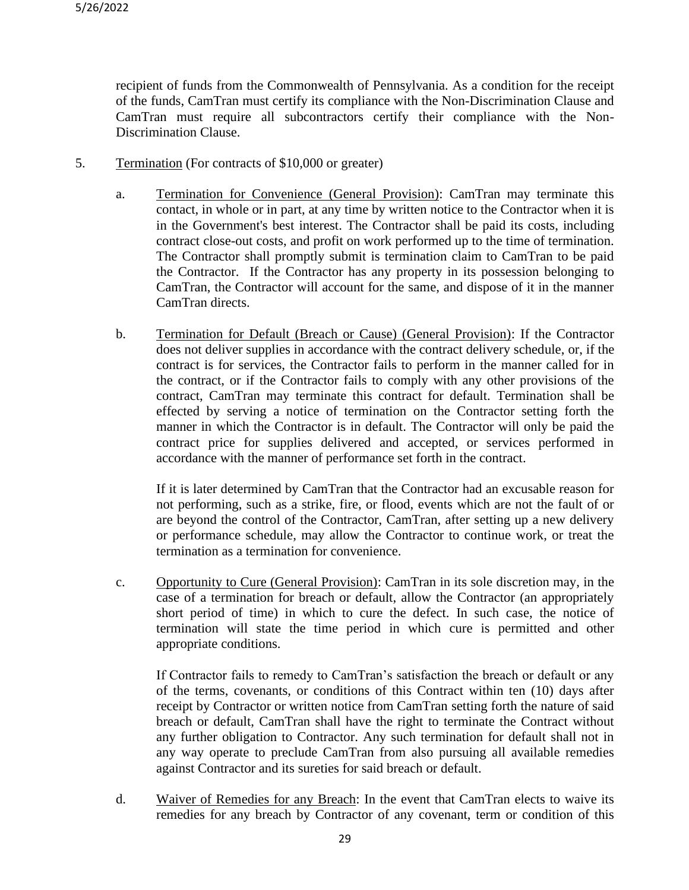recipient of funds from the Commonwealth of Pennsylvania. As a condition for the receipt of the funds, CamTran must certify its compliance with the Non-Discrimination Clause and CamTran must require all subcontractors certify their compliance with the Non-Discrimination Clause.

- 5. Termination (For contracts of \$10,000 or greater)
	- a. Termination for Convenience (General Provision): CamTran may terminate this contact, in whole or in part, at any time by written notice to the Contractor when it is in the Government's best interest. The Contractor shall be paid its costs, including contract close-out costs, and profit on work performed up to the time of termination. The Contractor shall promptly submit is termination claim to CamTran to be paid the Contractor. If the Contractor has any property in its possession belonging to CamTran, the Contractor will account for the same, and dispose of it in the manner CamTran directs.
	- b. Termination for Default (Breach or Cause) (General Provision): If the Contractor does not deliver supplies in accordance with the contract delivery schedule, or, if the contract is for services, the Contractor fails to perform in the manner called for in the contract, or if the Contractor fails to comply with any other provisions of the contract, CamTran may terminate this contract for default. Termination shall be effected by serving a notice of termination on the Contractor setting forth the manner in which the Contractor is in default. The Contractor will only be paid the contract price for supplies delivered and accepted, or services performed in accordance with the manner of performance set forth in the contract.

If it is later determined by CamTran that the Contractor had an excusable reason for not performing, such as a strike, fire, or flood, events which are not the fault of or are beyond the control of the Contractor, CamTran, after setting up a new delivery or performance schedule, may allow the Contractor to continue work, or treat the termination as a termination for convenience.

c. Opportunity to Cure (General Provision): CamTran in its sole discretion may, in the case of a termination for breach or default, allow the Contractor (an appropriately short period of time) in which to cure the defect. In such case, the notice of termination will state the time period in which cure is permitted and other appropriate conditions.

If Contractor fails to remedy to CamTran's satisfaction the breach or default or any of the terms, covenants, or conditions of this Contract within ten (10) days after receipt by Contractor or written notice from CamTran setting forth the nature of said breach or default, CamTran shall have the right to terminate the Contract without any further obligation to Contractor. Any such termination for default shall not in any way operate to preclude CamTran from also pursuing all available remedies against Contractor and its sureties for said breach or default.

d. Waiver of Remedies for any Breach: In the event that CamTran elects to waive its remedies for any breach by Contractor of any covenant, term or condition of this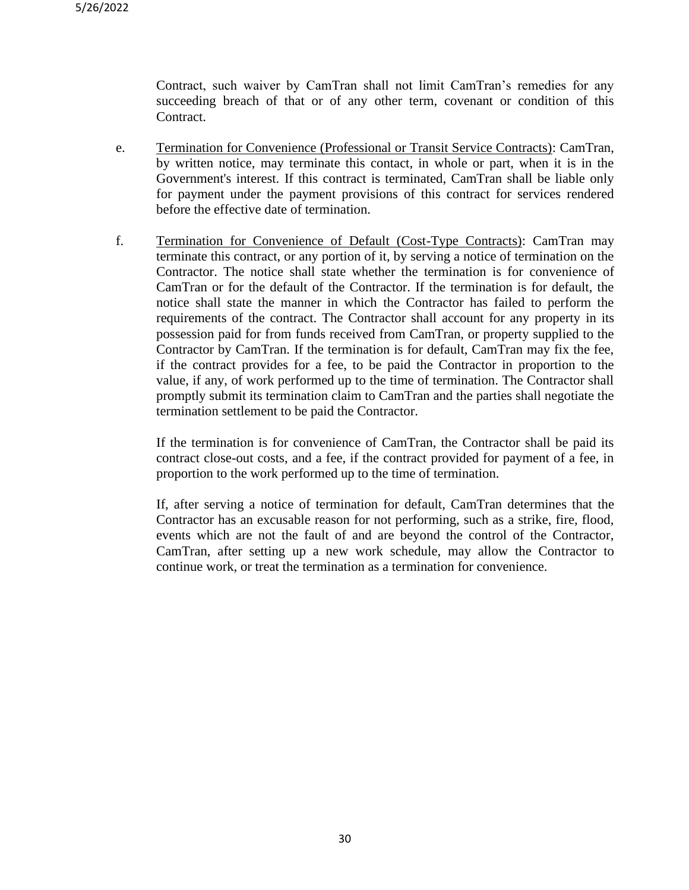Contract, such waiver by CamTran shall not limit CamTran's remedies for any succeeding breach of that or of any other term, covenant or condition of this Contract.

- e. Termination for Convenience (Professional or Transit Service Contracts): CamTran, by written notice, may terminate this contact, in whole or part, when it is in the Government's interest. If this contract is terminated, CamTran shall be liable only for payment under the payment provisions of this contract for services rendered before the effective date of termination.
- f. Termination for Convenience of Default (Cost-Type Contracts): CamTran may terminate this contract, or any portion of it, by serving a notice of termination on the Contractor. The notice shall state whether the termination is for convenience of CamTran or for the default of the Contractor. If the termination is for default, the notice shall state the manner in which the Contractor has failed to perform the requirements of the contract. The Contractor shall account for any property in its possession paid for from funds received from CamTran, or property supplied to the Contractor by CamTran. If the termination is for default, CamTran may fix the fee, if the contract provides for a fee, to be paid the Contractor in proportion to the value, if any, of work performed up to the time of termination. The Contractor shall promptly submit its termination claim to CamTran and the parties shall negotiate the termination settlement to be paid the Contractor.

If the termination is for convenience of CamTran, the Contractor shall be paid its contract close-out costs, and a fee, if the contract provided for payment of a fee, in proportion to the work performed up to the time of termination.

If, after serving a notice of termination for default, CamTran determines that the Contractor has an excusable reason for not performing, such as a strike, fire, flood, events which are not the fault of and are beyond the control of the Contractor, CamTran, after setting up a new work schedule, may allow the Contractor to continue work, or treat the termination as a termination for convenience.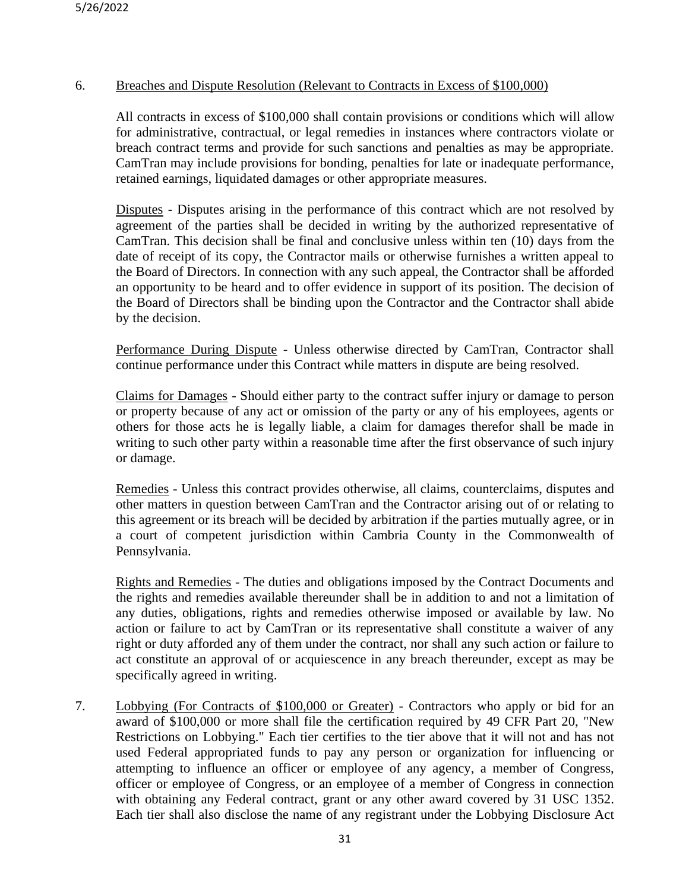### 6. Breaches and Dispute Resolution (Relevant to Contracts in Excess of \$100,000)

All contracts in excess of \$100,000 shall contain provisions or conditions which will allow for administrative, contractual, or legal remedies in instances where contractors violate or breach contract terms and provide for such sanctions and penalties as may be appropriate. CamTran may include provisions for bonding, penalties for late or inadequate performance, retained earnings, liquidated damages or other appropriate measures.

Disputes - Disputes arising in the performance of this contract which are not resolved by agreement of the parties shall be decided in writing by the authorized representative of CamTran. This decision shall be final and conclusive unless within ten (10) days from the date of receipt of its copy, the Contractor mails or otherwise furnishes a written appeal to the Board of Directors. In connection with any such appeal, the Contractor shall be afforded an opportunity to be heard and to offer evidence in support of its position. The decision of the Board of Directors shall be binding upon the Contractor and the Contractor shall abide by the decision.

Performance During Dispute - Unless otherwise directed by CamTran, Contractor shall continue performance under this Contract while matters in dispute are being resolved.

Claims for Damages - Should either party to the contract suffer injury or damage to person or property because of any act or omission of the party or any of his employees, agents or others for those acts he is legally liable, a claim for damages therefor shall be made in writing to such other party within a reasonable time after the first observance of such injury or damage.

Remedies - Unless this contract provides otherwise, all claims, counterclaims, disputes and other matters in question between CamTran and the Contractor arising out of or relating to this agreement or its breach will be decided by arbitration if the parties mutually agree, or in a court of competent jurisdiction within Cambria County in the Commonwealth of Pennsylvania.

Rights and Remedies - The duties and obligations imposed by the Contract Documents and the rights and remedies available thereunder shall be in addition to and not a limitation of any duties, obligations, rights and remedies otherwise imposed or available by law. No action or failure to act by CamTran or its representative shall constitute a waiver of any right or duty afforded any of them under the contract, nor shall any such action or failure to act constitute an approval of or acquiescence in any breach thereunder, except as may be specifically agreed in writing.

7. Lobbying (For Contracts of \$100,000 or Greater) - Contractors who apply or bid for an award of \$100,000 or more shall file the certification required by 49 CFR Part 20, "New Restrictions on Lobbying." Each tier certifies to the tier above that it will not and has not used Federal appropriated funds to pay any person or organization for influencing or attempting to influence an officer or employee of any agency, a member of Congress, officer or employee of Congress, or an employee of a member of Congress in connection with obtaining any Federal contract, grant or any other award covered by 31 USC 1352. Each tier shall also disclose the name of any registrant under the Lobbying Disclosure Act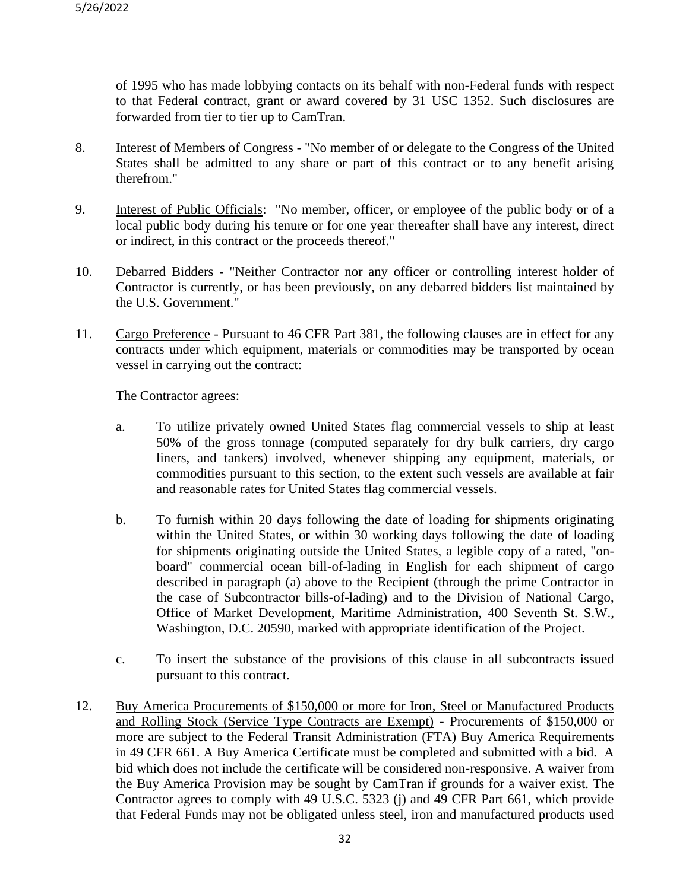of 1995 who has made lobbying contacts on its behalf with non-Federal funds with respect to that Federal contract, grant or award covered by 31 USC 1352. Such disclosures are forwarded from tier to tier up to CamTran.

- 8. Interest of Members of Congress "No member of or delegate to the Congress of the United States shall be admitted to any share or part of this contract or to any benefit arising therefrom."
- 9. Interest of Public Officials: "No member, officer, or employee of the public body or of a local public body during his tenure or for one year thereafter shall have any interest, direct or indirect, in this contract or the proceeds thereof."
- 10. Debarred Bidders "Neither Contractor nor any officer or controlling interest holder of Contractor is currently, or has been previously, on any debarred bidders list maintained by the U.S. Government."
- 11. Cargo Preference Pursuant to 46 CFR Part 381, the following clauses are in effect for any contracts under which equipment, materials or commodities may be transported by ocean vessel in carrying out the contract:

The Contractor agrees:

- a. To utilize privately owned United States flag commercial vessels to ship at least 50% of the gross tonnage (computed separately for dry bulk carriers, dry cargo liners, and tankers) involved, whenever shipping any equipment, materials, or commodities pursuant to this section, to the extent such vessels are available at fair and reasonable rates for United States flag commercial vessels.
- b. To furnish within 20 days following the date of loading for shipments originating within the United States, or within 30 working days following the date of loading for shipments originating outside the United States, a legible copy of a rated, "onboard" commercial ocean bill-of-lading in English for each shipment of cargo described in paragraph (a) above to the Recipient (through the prime Contractor in the case of Subcontractor bills-of-lading) and to the Division of National Cargo, Office of Market Development, Maritime Administration, 400 Seventh St. S.W., Washington, D.C. 20590, marked with appropriate identification of the Project.
- c. To insert the substance of the provisions of this clause in all subcontracts issued pursuant to this contract.
- 12. Buy America Procurements of \$150,000 or more for Iron, Steel or Manufactured Products and Rolling Stock (Service Type Contracts are Exempt) - Procurements of \$150,000 or more are subject to the Federal Transit Administration (FTA) Buy America Requirements in 49 CFR 661. A Buy America Certificate must be completed and submitted with a bid. A bid which does not include the certificate will be considered non-responsive. A waiver from the Buy America Provision may be sought by CamTran if grounds for a waiver exist. The Contractor agrees to comply with 49 U.S.C. 5323 (j) and 49 CFR Part 661, which provide that Federal Funds may not be obligated unless steel, iron and manufactured products used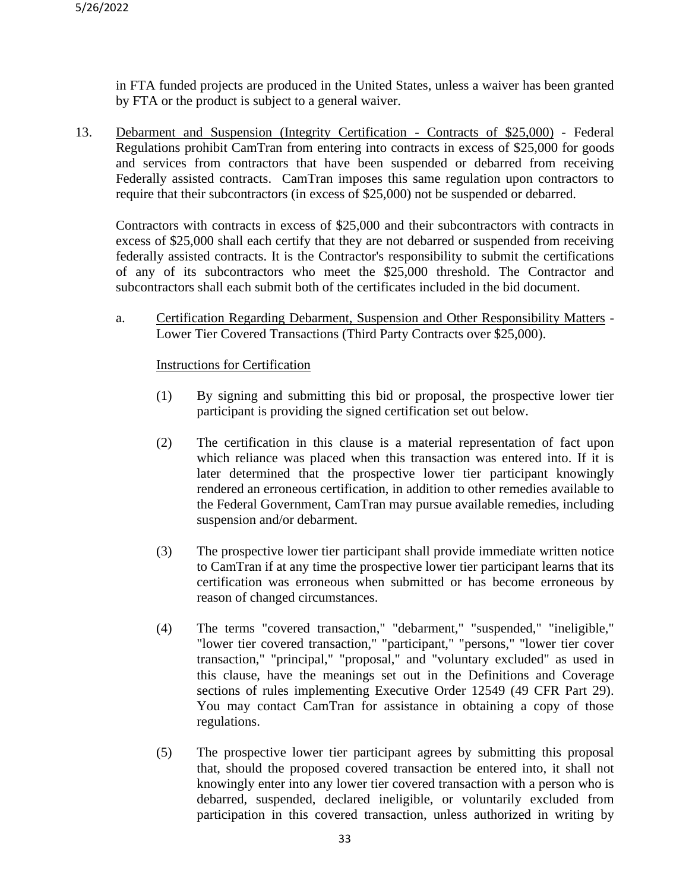in FTA funded projects are produced in the United States, unless a waiver has been granted by FTA or the product is subject to a general waiver.

13. Debarment and Suspension (Integrity Certification - Contracts of \$25,000) - Federal Regulations prohibit CamTran from entering into contracts in excess of \$25,000 for goods and services from contractors that have been suspended or debarred from receiving Federally assisted contracts. CamTran imposes this same regulation upon contractors to require that their subcontractors (in excess of \$25,000) not be suspended or debarred.

Contractors with contracts in excess of \$25,000 and their subcontractors with contracts in excess of \$25,000 shall each certify that they are not debarred or suspended from receiving federally assisted contracts. It is the Contractor's responsibility to submit the certifications of any of its subcontractors who meet the \$25,000 threshold. The Contractor and subcontractors shall each submit both of the certificates included in the bid document.

a. Certification Regarding Debarment, Suspension and Other Responsibility Matters - Lower Tier Covered Transactions (Third Party Contracts over \$25,000).

### Instructions for Certification

- (1) By signing and submitting this bid or proposal, the prospective lower tier participant is providing the signed certification set out below.
- (2) The certification in this clause is a material representation of fact upon which reliance was placed when this transaction was entered into. If it is later determined that the prospective lower tier participant knowingly rendered an erroneous certification, in addition to other remedies available to the Federal Government, CamTran may pursue available remedies, including suspension and/or debarment.
- (3) The prospective lower tier participant shall provide immediate written notice to CamTran if at any time the prospective lower tier participant learns that its certification was erroneous when submitted or has become erroneous by reason of changed circumstances.
- (4) The terms "covered transaction," "debarment," "suspended," "ineligible," "lower tier covered transaction," "participant," "persons," "lower tier cover transaction," "principal," "proposal," and "voluntary excluded" as used in this clause, have the meanings set out in the Definitions and Coverage sections of rules implementing Executive Order 12549 (49 CFR Part 29). You may contact CamTran for assistance in obtaining a copy of those regulations.
- (5) The prospective lower tier participant agrees by submitting this proposal that, should the proposed covered transaction be entered into, it shall not knowingly enter into any lower tier covered transaction with a person who is debarred, suspended, declared ineligible, or voluntarily excluded from participation in this covered transaction, unless authorized in writing by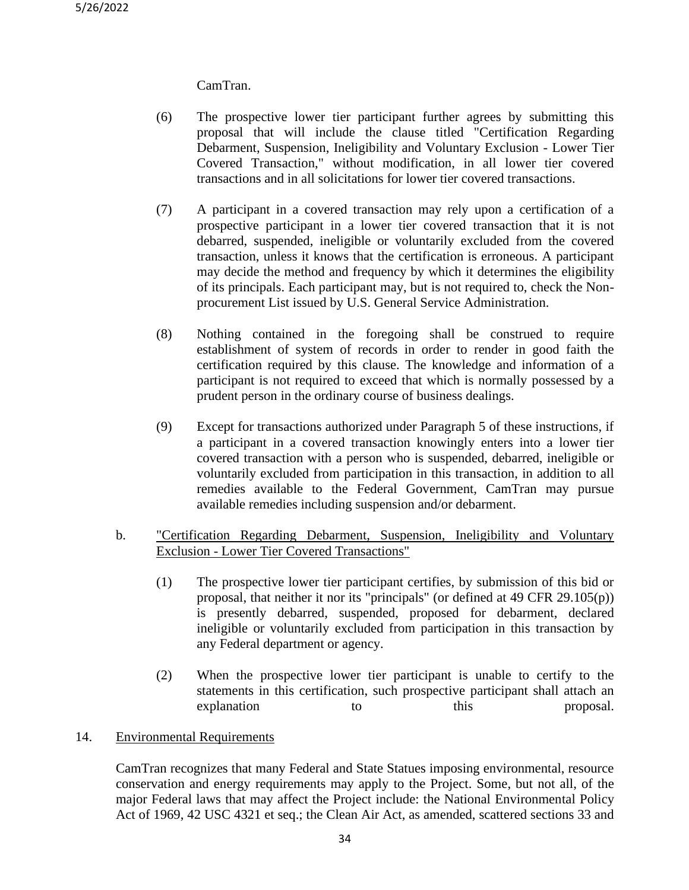## CamTran.

- (6) The prospective lower tier participant further agrees by submitting this proposal that will include the clause titled "Certification Regarding Debarment, Suspension, Ineligibility and Voluntary Exclusion - Lower Tier Covered Transaction," without modification, in all lower tier covered transactions and in all solicitations for lower tier covered transactions.
- (7) A participant in a covered transaction may rely upon a certification of a prospective participant in a lower tier covered transaction that it is not debarred, suspended, ineligible or voluntarily excluded from the covered transaction, unless it knows that the certification is erroneous. A participant may decide the method and frequency by which it determines the eligibility of its principals. Each participant may, but is not required to, check the Nonprocurement List issued by U.S. General Service Administration.
- (8) Nothing contained in the foregoing shall be construed to require establishment of system of records in order to render in good faith the certification required by this clause. The knowledge and information of a participant is not required to exceed that which is normally possessed by a prudent person in the ordinary course of business dealings.
- (9) Except for transactions authorized under Paragraph 5 of these instructions, if a participant in a covered transaction knowingly enters into a lower tier covered transaction with a person who is suspended, debarred, ineligible or voluntarily excluded from participation in this transaction, in addition to all remedies available to the Federal Government, CamTran may pursue available remedies including suspension and/or debarment.

### b. "Certification Regarding Debarment, Suspension, Ineligibility and Voluntary Exclusion - Lower Tier Covered Transactions"

- (1) The prospective lower tier participant certifies, by submission of this bid or proposal, that neither it nor its "principals" (or defined at 49 CFR 29.105(p)) is presently debarred, suspended, proposed for debarment, declared ineligible or voluntarily excluded from participation in this transaction by any Federal department or agency.
- (2) When the prospective lower tier participant is unable to certify to the statements in this certification, such prospective participant shall attach an explanation to this proposal.

### 14. Environmental Requirements

CamTran recognizes that many Federal and State Statues imposing environmental, resource conservation and energy requirements may apply to the Project. Some, but not all, of the major Federal laws that may affect the Project include: the National Environmental Policy Act of 1969, 42 USC 4321 et seq.; the Clean Air Act, as amended, scattered sections 33 and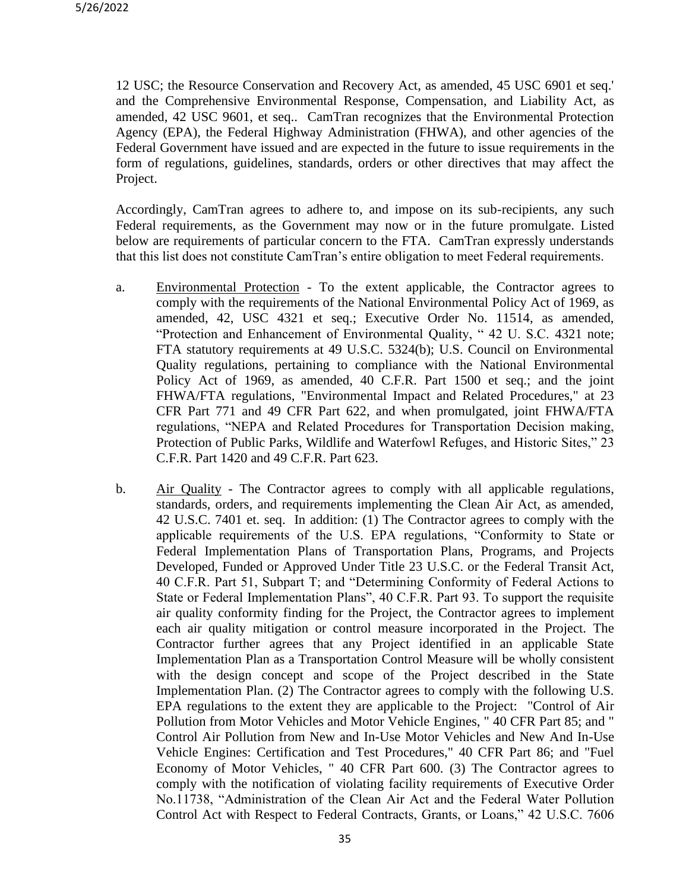12 USC; the Resource Conservation and Recovery Act, as amended, 45 USC 6901 et seq.' and the Comprehensive Environmental Response, Compensation, and Liability Act, as amended, 42 USC 9601, et seq.. CamTran recognizes that the Environmental Protection Agency (EPA), the Federal Highway Administration (FHWA), and other agencies of the Federal Government have issued and are expected in the future to issue requirements in the form of regulations, guidelines, standards, orders or other directives that may affect the Project.

Accordingly, CamTran agrees to adhere to, and impose on its sub-recipients, any such Federal requirements, as the Government may now or in the future promulgate. Listed below are requirements of particular concern to the FTA. CamTran expressly understands that this list does not constitute CamTran's entire obligation to meet Federal requirements.

- a. Environmental Protection To the extent applicable, the Contractor agrees to comply with the requirements of the National Environmental Policy Act of 1969, as amended, 42, USC 4321 et seq.; Executive Order No. 11514, as amended, "Protection and Enhancement of Environmental Quality, " 42 U. S.C. 4321 note; FTA statutory requirements at 49 U.S.C. 5324(b); U.S. Council on Environmental Quality regulations, pertaining to compliance with the National Environmental Policy Act of 1969, as amended, 40 C.F.R. Part 1500 et seq.; and the joint FHWA/FTA regulations, "Environmental Impact and Related Procedures," at 23 CFR Part 771 and 49 CFR Part 622, and when promulgated, joint FHWA/FTA regulations, "NEPA and Related Procedures for Transportation Decision making, Protection of Public Parks, Wildlife and Waterfowl Refuges, and Historic Sites," 23 C.F.R. Part 1420 and 49 C.F.R. Part 623.
- b. Air Quality The Contractor agrees to comply with all applicable regulations, standards, orders, and requirements implementing the Clean Air Act, as amended, 42 U.S.C. 7401 et. seq. In addition: (1) The Contractor agrees to comply with the applicable requirements of the U.S. EPA regulations, "Conformity to State or Federal Implementation Plans of Transportation Plans, Programs, and Projects Developed, Funded or Approved Under Title 23 U.S.C. or the Federal Transit Act, 40 C.F.R. Part 51, Subpart T; and "Determining Conformity of Federal Actions to State or Federal Implementation Plans", 40 C.F.R. Part 93. To support the requisite air quality conformity finding for the Project, the Contractor agrees to implement each air quality mitigation or control measure incorporated in the Project. The Contractor further agrees that any Project identified in an applicable State Implementation Plan as a Transportation Control Measure will be wholly consistent with the design concept and scope of the Project described in the State Implementation Plan. (2) The Contractor agrees to comply with the following U.S. EPA regulations to the extent they are applicable to the Project: "Control of Air Pollution from Motor Vehicles and Motor Vehicle Engines, " 40 CFR Part 85; and " Control Air Pollution from New and In-Use Motor Vehicles and New And In-Use Vehicle Engines: Certification and Test Procedures," 40 CFR Part 86; and "Fuel Economy of Motor Vehicles, " 40 CFR Part 600. (3) The Contractor agrees to comply with the notification of violating facility requirements of Executive Order No.11738, "Administration of the Clean Air Act and the Federal Water Pollution Control Act with Respect to Federal Contracts, Grants, or Loans," 42 U.S.C. 7606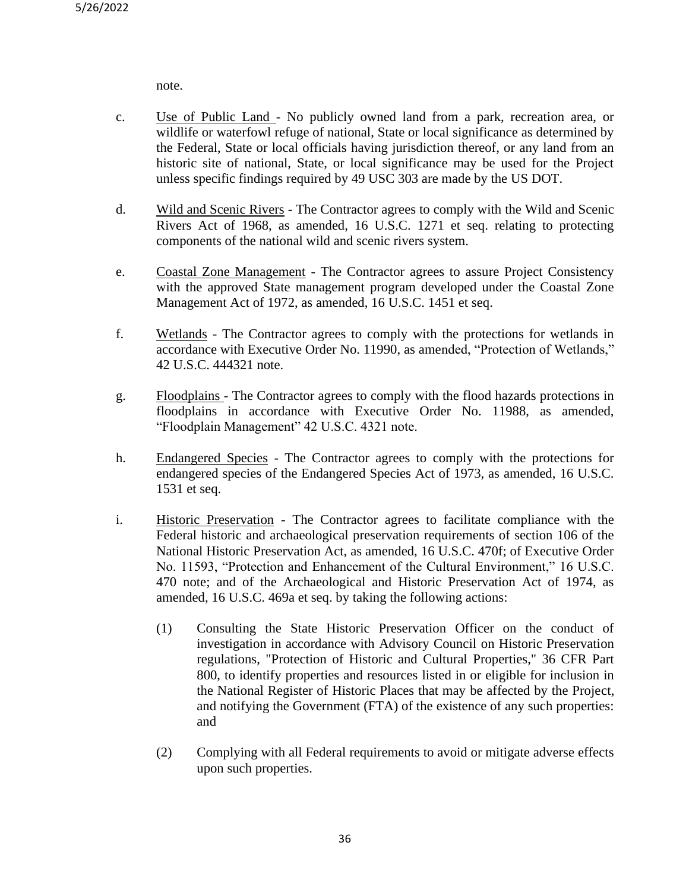note.

- c. Use of Public Land No publicly owned land from a park, recreation area, or wildlife or waterfowl refuge of national, State or local significance as determined by the Federal, State or local officials having jurisdiction thereof, or any land from an historic site of national, State, or local significance may be used for the Project unless specific findings required by 49 USC 303 are made by the US DOT.
- d. Wild and Scenic Rivers The Contractor agrees to comply with the Wild and Scenic Rivers Act of 1968, as amended, 16 U.S.C. 1271 et seq. relating to protecting components of the national wild and scenic rivers system.
- e. Coastal Zone Management The Contractor agrees to assure Project Consistency with the approved State management program developed under the Coastal Zone Management Act of 1972, as amended, 16 U.S.C. 1451 et seq.
- f. Wetlands The Contractor agrees to comply with the protections for wetlands in accordance with Executive Order No. 11990, as amended, "Protection of Wetlands," 42 U.S.C. 444321 note.
- g. Floodplains The Contractor agrees to comply with the flood hazards protections in floodplains in accordance with Executive Order No. 11988, as amended, "Floodplain Management" 42 U.S.C. 4321 note.
- h. Endangered Species The Contractor agrees to comply with the protections for endangered species of the Endangered Species Act of 1973, as amended, 16 U.S.C. 1531 et seq.
- i. Historic Preservation The Contractor agrees to facilitate compliance with the Federal historic and archaeological preservation requirements of section 106 of the National Historic Preservation Act, as amended, 16 U.S.C. 470f; of Executive Order No. 11593, "Protection and Enhancement of the Cultural Environment," 16 U.S.C. 470 note; and of the Archaeological and Historic Preservation Act of 1974, as amended, 16 U.S.C. 469a et seq. by taking the following actions:
	- (1) Consulting the State Historic Preservation Officer on the conduct of investigation in accordance with Advisory Council on Historic Preservation regulations, "Protection of Historic and Cultural Properties," 36 CFR Part 800, to identify properties and resources listed in or eligible for inclusion in the National Register of Historic Places that may be affected by the Project, and notifying the Government (FTA) of the existence of any such properties: and
	- (2) Complying with all Federal requirements to avoid or mitigate adverse effects upon such properties.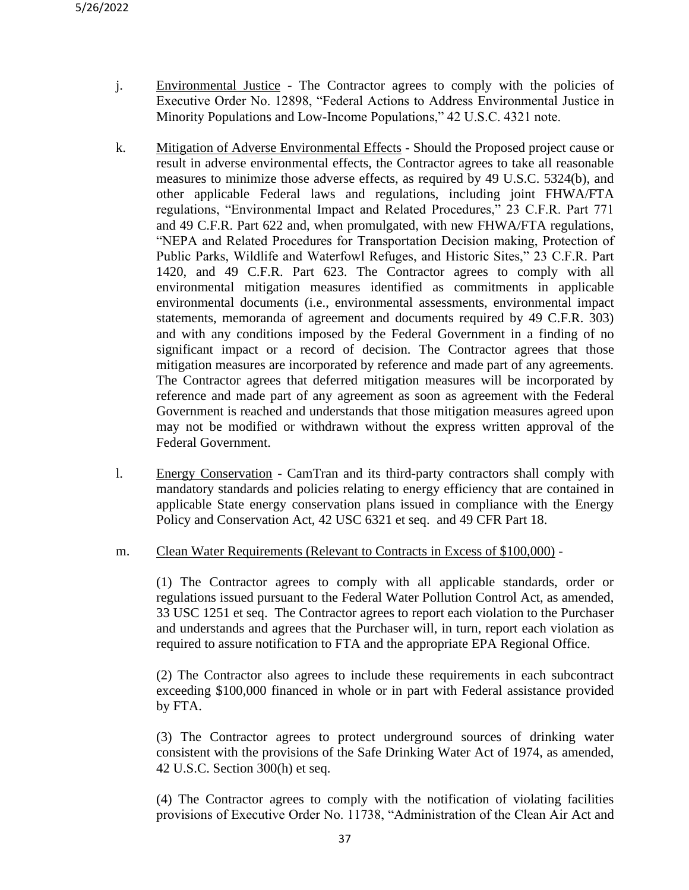- j. Environmental Justice The Contractor agrees to comply with the policies of Executive Order No. 12898, "Federal Actions to Address Environmental Justice in Minority Populations and Low-Income Populations," 42 U.S.C. 4321 note.
- k. Mitigation of Adverse Environmental Effects Should the Proposed project cause or result in adverse environmental effects, the Contractor agrees to take all reasonable measures to minimize those adverse effects, as required by 49 U.S.C. 5324(b), and other applicable Federal laws and regulations, including joint FHWA/FTA regulations, "Environmental Impact and Related Procedures," 23 C.F.R. Part 771 and 49 C.F.R. Part 622 and, when promulgated, with new FHWA/FTA regulations, "NEPA and Related Procedures for Transportation Decision making, Protection of Public Parks, Wildlife and Waterfowl Refuges, and Historic Sites," 23 C.F.R. Part 1420, and 49 C.F.R. Part 623. The Contractor agrees to comply with all environmental mitigation measures identified as commitments in applicable environmental documents (i.e., environmental assessments, environmental impact statements, memoranda of agreement and documents required by 49 C.F.R. 303) and with any conditions imposed by the Federal Government in a finding of no significant impact or a record of decision. The Contractor agrees that those mitigation measures are incorporated by reference and made part of any agreements. The Contractor agrees that deferred mitigation measures will be incorporated by reference and made part of any agreement as soon as agreement with the Federal Government is reached and understands that those mitigation measures agreed upon may not be modified or withdrawn without the express written approval of the Federal Government.
- l. Energy Conservation CamTran and its third-party contractors shall comply with mandatory standards and policies relating to energy efficiency that are contained in applicable State energy conservation plans issued in compliance with the Energy Policy and Conservation Act, 42 USC 6321 et seq. and 49 CFR Part 18.

### m. Clean Water Requirements (Relevant to Contracts in Excess of \$100,000) -

(1) The Contractor agrees to comply with all applicable standards, order or regulations issued pursuant to the Federal Water Pollution Control Act, as amended, 33 USC 1251 et seq. The Contractor agrees to report each violation to the Purchaser and understands and agrees that the Purchaser will, in turn, report each violation as required to assure notification to FTA and the appropriate EPA Regional Office.

(2) The Contractor also agrees to include these requirements in each subcontract exceeding \$100,000 financed in whole or in part with Federal assistance provided by FTA.

(3) The Contractor agrees to protect underground sources of drinking water consistent with the provisions of the Safe Drinking Water Act of 1974, as amended, 42 U.S.C. Section 300(h) et seq.

(4) The Contractor agrees to comply with the notification of violating facilities provisions of Executive Order No. 11738, "Administration of the Clean Air Act and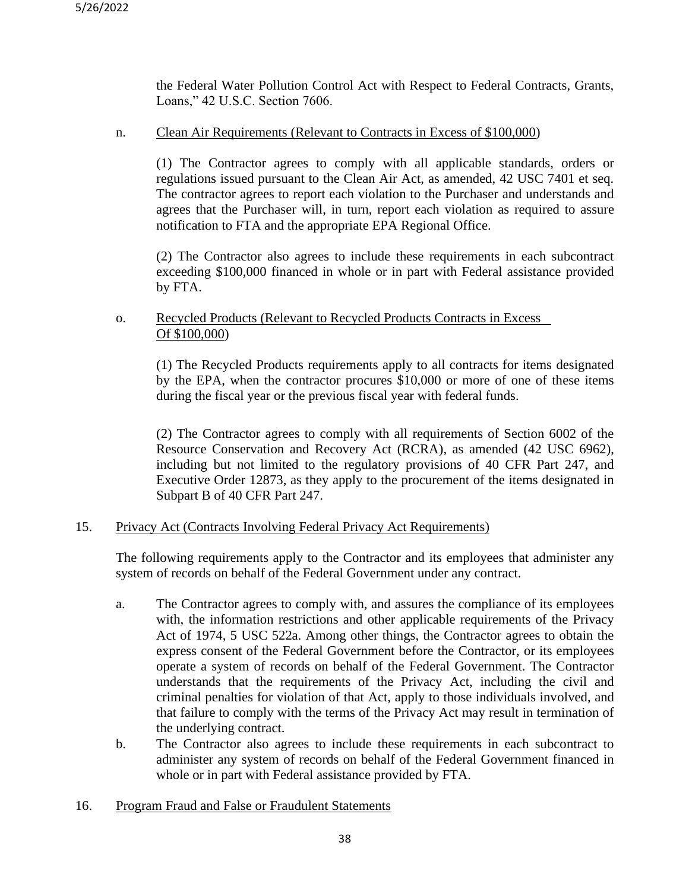the Federal Water Pollution Control Act with Respect to Federal Contracts, Grants, Loans," 42 U.S.C. Section 7606.

### n. Clean Air Requirements (Relevant to Contracts in Excess of \$100,000)

(1) The Contractor agrees to comply with all applicable standards, orders or regulations issued pursuant to the Clean Air Act, as amended, 42 USC 7401 et seq. The contractor agrees to report each violation to the Purchaser and understands and agrees that the Purchaser will, in turn, report each violation as required to assure notification to FTA and the appropriate EPA Regional Office.

(2) The Contractor also agrees to include these requirements in each subcontract exceeding \$100,000 financed in whole or in part with Federal assistance provided by FTA.

### o. Recycled Products (Relevant to Recycled Products Contracts in Excess Of \$100,000)

(1) The Recycled Products requirements apply to all contracts for items designated by the EPA, when the contractor procures \$10,000 or more of one of these items during the fiscal year or the previous fiscal year with federal funds.

(2) The Contractor agrees to comply with all requirements of Section 6002 of the Resource Conservation and Recovery Act (RCRA), as amended (42 USC 6962), including but not limited to the regulatory provisions of 40 CFR Part 247, and Executive Order 12873, as they apply to the procurement of the items designated in Subpart B of 40 CFR Part 247.

### 15. Privacy Act (Contracts Involving Federal Privacy Act Requirements)

The following requirements apply to the Contractor and its employees that administer any system of records on behalf of the Federal Government under any contract.

- a. The Contractor agrees to comply with, and assures the compliance of its employees with, the information restrictions and other applicable requirements of the Privacy Act of 1974, 5 USC 522a. Among other things, the Contractor agrees to obtain the express consent of the Federal Government before the Contractor, or its employees operate a system of records on behalf of the Federal Government. The Contractor understands that the requirements of the Privacy Act, including the civil and criminal penalties for violation of that Act, apply to those individuals involved, and that failure to comply with the terms of the Privacy Act may result in termination of the underlying contract.
- b. The Contractor also agrees to include these requirements in each subcontract to administer any system of records on behalf of the Federal Government financed in whole or in part with Federal assistance provided by FTA.
- 16. Program Fraud and False or Fraudulent Statements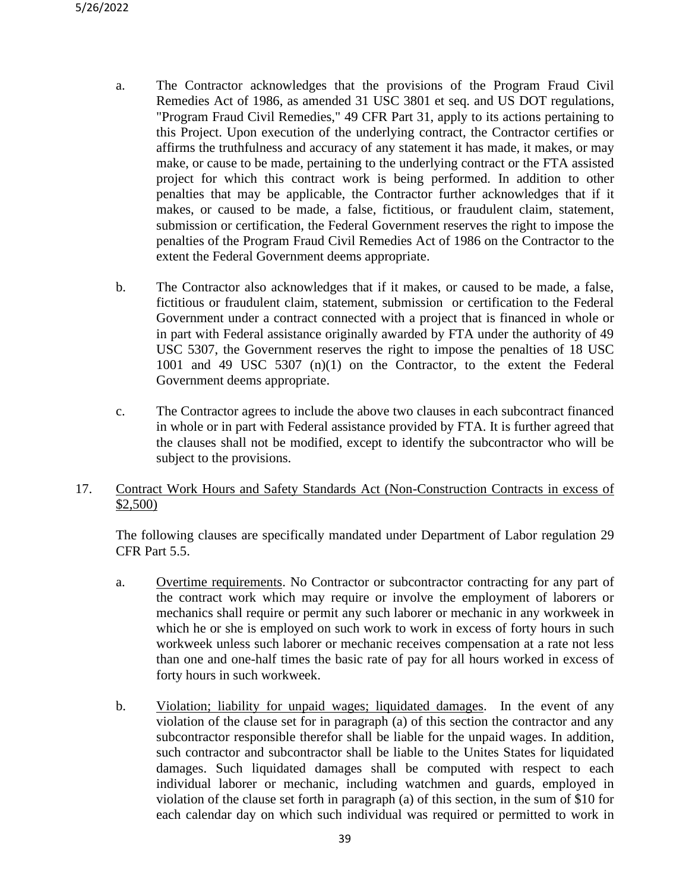- a. The Contractor acknowledges that the provisions of the Program Fraud Civil Remedies Act of 1986, as amended 31 USC 3801 et seq. and US DOT regulations, "Program Fraud Civil Remedies," 49 CFR Part 31, apply to its actions pertaining to this Project. Upon execution of the underlying contract, the Contractor certifies or affirms the truthfulness and accuracy of any statement it has made, it makes, or may make, or cause to be made, pertaining to the underlying contract or the FTA assisted project for which this contract work is being performed. In addition to other penalties that may be applicable, the Contractor further acknowledges that if it makes, or caused to be made, a false, fictitious, or fraudulent claim, statement, submission or certification, the Federal Government reserves the right to impose the penalties of the Program Fraud Civil Remedies Act of 1986 on the Contractor to the extent the Federal Government deems appropriate.
- b. The Contractor also acknowledges that if it makes, or caused to be made, a false, fictitious or fraudulent claim, statement, submission or certification to the Federal Government under a contract connected with a project that is financed in whole or in part with Federal assistance originally awarded by FTA under the authority of 49 USC 5307, the Government reserves the right to impose the penalties of 18 USC 1001 and 49 USC 5307 (n)(1) on the Contractor, to the extent the Federal Government deems appropriate.
- c. The Contractor agrees to include the above two clauses in each subcontract financed in whole or in part with Federal assistance provided by FTA. It is further agreed that the clauses shall not be modified, except to identify the subcontractor who will be subject to the provisions.

### 17. Contract Work Hours and Safety Standards Act (Non-Construction Contracts in excess of \$2,500)

The following clauses are specifically mandated under Department of Labor regulation 29 CFR Part 5.5.

- a. Overtime requirements. No Contractor or subcontractor contracting for any part of the contract work which may require or involve the employment of laborers or mechanics shall require or permit any such laborer or mechanic in any workweek in which he or she is employed on such work to work in excess of forty hours in such workweek unless such laborer or mechanic receives compensation at a rate not less than one and one-half times the basic rate of pay for all hours worked in excess of forty hours in such workweek.
- b. Violation; liability for unpaid wages; liquidated damages. In the event of any violation of the clause set for in paragraph (a) of this section the contractor and any subcontractor responsible therefor shall be liable for the unpaid wages. In addition, such contractor and subcontractor shall be liable to the Unites States for liquidated damages. Such liquidated damages shall be computed with respect to each individual laborer or mechanic, including watchmen and guards, employed in violation of the clause set forth in paragraph (a) of this section, in the sum of \$10 for each calendar day on which such individual was required or permitted to work in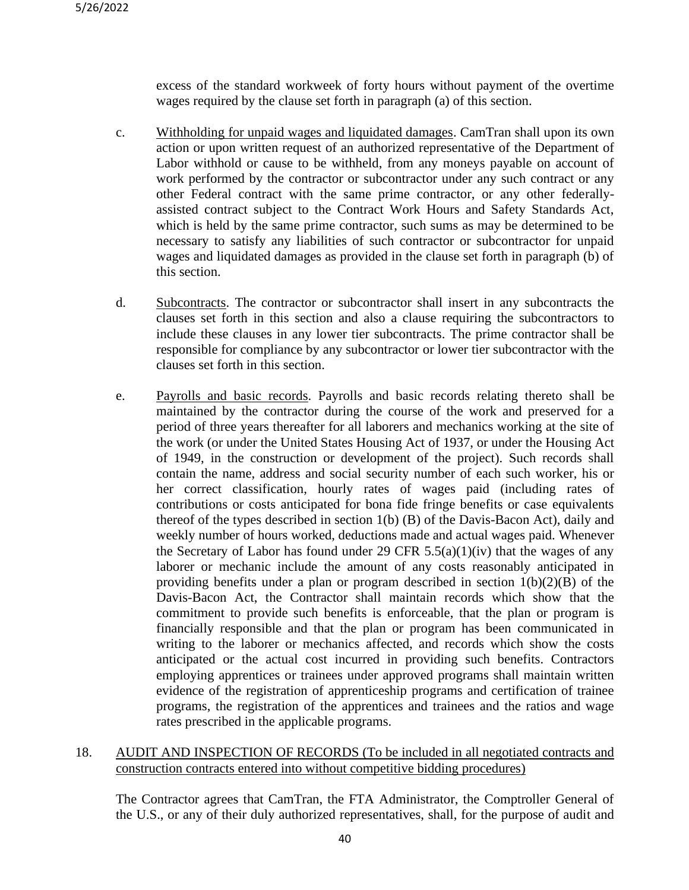excess of the standard workweek of forty hours without payment of the overtime wages required by the clause set forth in paragraph (a) of this section.

- c. Withholding for unpaid wages and liquidated damages. CamTran shall upon its own action or upon written request of an authorized representative of the Department of Labor withhold or cause to be withheld, from any moneys payable on account of work performed by the contractor or subcontractor under any such contract or any other Federal contract with the same prime contractor, or any other federallyassisted contract subject to the Contract Work Hours and Safety Standards Act, which is held by the same prime contractor, such sums as may be determined to be necessary to satisfy any liabilities of such contractor or subcontractor for unpaid wages and liquidated damages as provided in the clause set forth in paragraph (b) of this section.
- d. Subcontracts. The contractor or subcontractor shall insert in any subcontracts the clauses set forth in this section and also a clause requiring the subcontractors to include these clauses in any lower tier subcontracts. The prime contractor shall be responsible for compliance by any subcontractor or lower tier subcontractor with the clauses set forth in this section.
- e. Payrolls and basic records. Payrolls and basic records relating thereto shall be maintained by the contractor during the course of the work and preserved for a period of three years thereafter for all laborers and mechanics working at the site of the work (or under the United States Housing Act of 1937, or under the Housing Act of 1949, in the construction or development of the project). Such records shall contain the name, address and social security number of each such worker, his or her correct classification, hourly rates of wages paid (including rates of contributions or costs anticipated for bona fide fringe benefits or case equivalents thereof of the types described in section 1(b) (B) of the Davis-Bacon Act), daily and weekly number of hours worked, deductions made and actual wages paid. Whenever the Secretary of Labor has found under 29 CFR  $5.5(a)(1)(iv)$  that the wages of any laborer or mechanic include the amount of any costs reasonably anticipated in providing benefits under a plan or program described in section  $1(b)(2)(B)$  of the Davis-Bacon Act, the Contractor shall maintain records which show that the commitment to provide such benefits is enforceable, that the plan or program is financially responsible and that the plan or program has been communicated in writing to the laborer or mechanics affected, and records which show the costs anticipated or the actual cost incurred in providing such benefits. Contractors employing apprentices or trainees under approved programs shall maintain written evidence of the registration of apprenticeship programs and certification of trainee programs, the registration of the apprentices and trainees and the ratios and wage rates prescribed in the applicable programs.

### 18. AUDIT AND INSPECTION OF RECORDS (To be included in all negotiated contracts and construction contracts entered into without competitive bidding procedures)

The Contractor agrees that CamTran, the FTA Administrator, the Comptroller General of the U.S., or any of their duly authorized representatives, shall, for the purpose of audit and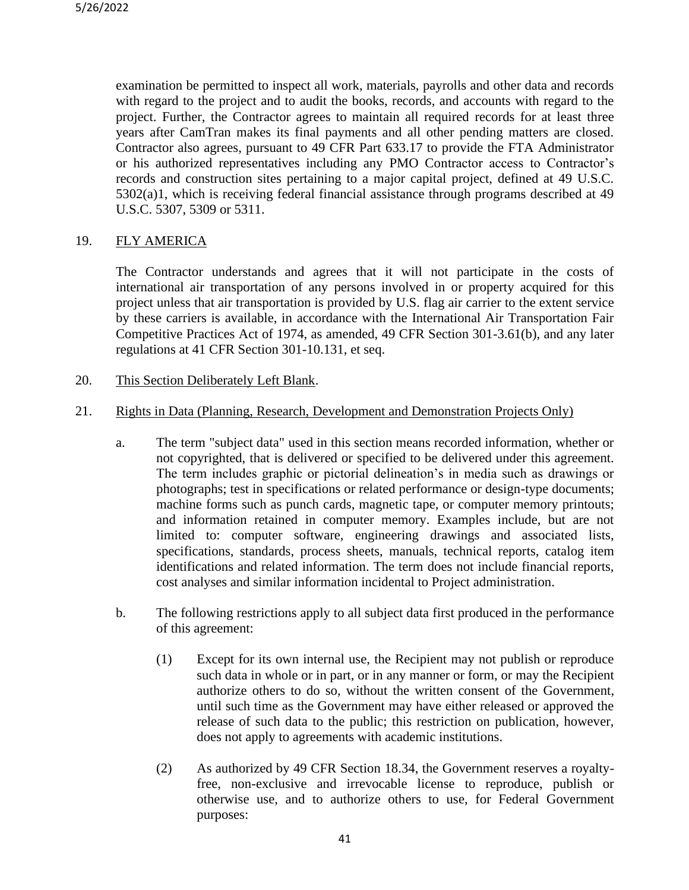examination be permitted to inspect all work, materials, payrolls and other data and records with regard to the project and to audit the books, records, and accounts with regard to the project. Further, the Contractor agrees to maintain all required records for at least three years after CamTran makes its final payments and all other pending matters are closed. Contractor also agrees, pursuant to 49 CFR Part 633.17 to provide the FTA Administrator or his authorized representatives including any PMO Contractor access to Contractor's records and construction sites pertaining to a major capital project, defined at 49 U.S.C. 5302(a)1, which is receiving federal financial assistance through programs described at 49 U.S.C. 5307, 5309 or 5311.

### 19. FLY AMERICA

The Contractor understands and agrees that it will not participate in the costs of international air transportation of any persons involved in or property acquired for this project unless that air transportation is provided by U.S. flag air carrier to the extent service by these carriers is available, in accordance with the International Air Transportation Fair Competitive Practices Act of 1974, as amended, 49 CFR Section 301-3.61(b), and any later regulations at 41 CFR Section 301-10.131, et seq.

20. This Section Deliberately Left Blank.

### 21. Rights in Data (Planning, Research, Development and Demonstration Projects Only)

- a. The term "subject data" used in this section means recorded information, whether or not copyrighted, that is delivered or specified to be delivered under this agreement. The term includes graphic or pictorial delineation's in media such as drawings or photographs; test in specifications or related performance or design-type documents; machine forms such as punch cards, magnetic tape, or computer memory printouts; and information retained in computer memory. Examples include, but are not limited to: computer software, engineering drawings and associated lists, specifications, standards, process sheets, manuals, technical reports, catalog item identifications and related information. The term does not include financial reports, cost analyses and similar information incidental to Project administration.
- b. The following restrictions apply to all subject data first produced in the performance of this agreement:
	- (1) Except for its own internal use, the Recipient may not publish or reproduce such data in whole or in part, or in any manner or form, or may the Recipient authorize others to do so, without the written consent of the Government, until such time as the Government may have either released or approved the release of such data to the public; this restriction on publication, however, does not apply to agreements with academic institutions.
	- (2) As authorized by 49 CFR Section 18.34, the Government reserves a royaltyfree, non-exclusive and irrevocable license to reproduce, publish or otherwise use, and to authorize others to use, for Federal Government purposes: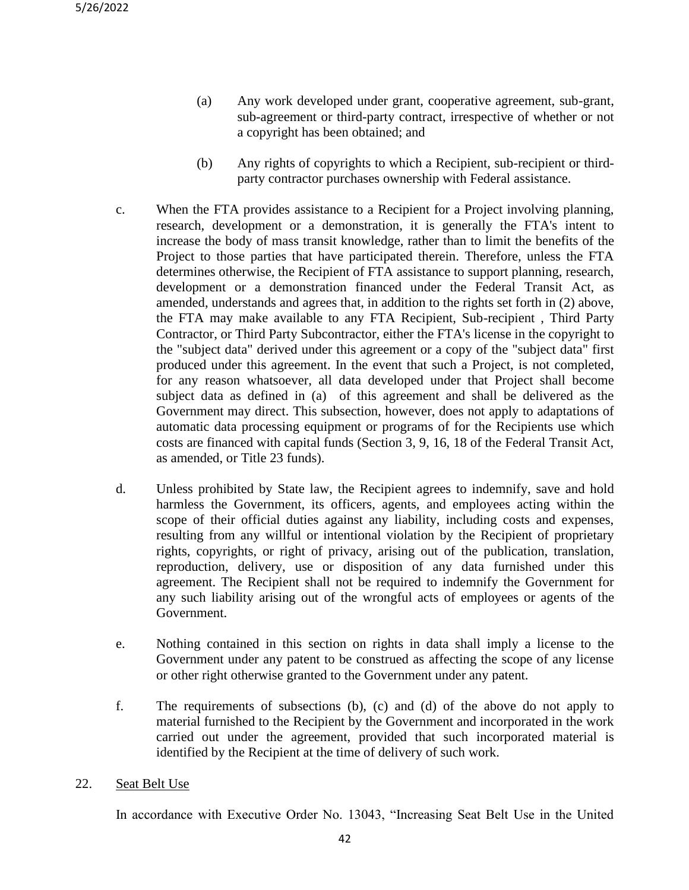- (a) Any work developed under grant, cooperative agreement, sub-grant, sub-agreement or third-party contract, irrespective of whether or not a copyright has been obtained; and
- (b) Any rights of copyrights to which a Recipient, sub-recipient or thirdparty contractor purchases ownership with Federal assistance.
- c. When the FTA provides assistance to a Recipient for a Project involving planning, research, development or a demonstration, it is generally the FTA's intent to increase the body of mass transit knowledge, rather than to limit the benefits of the Project to those parties that have participated therein. Therefore, unless the FTA determines otherwise, the Recipient of FTA assistance to support planning, research, development or a demonstration financed under the Federal Transit Act, as amended, understands and agrees that, in addition to the rights set forth in (2) above, the FTA may make available to any FTA Recipient, Sub-recipient , Third Party Contractor, or Third Party Subcontractor, either the FTA's license in the copyright to the "subject data" derived under this agreement or a copy of the "subject data" first produced under this agreement. In the event that such a Project, is not completed, for any reason whatsoever, all data developed under that Project shall become subject data as defined in (a) of this agreement and shall be delivered as the Government may direct. This subsection, however, does not apply to adaptations of automatic data processing equipment or programs of for the Recipients use which costs are financed with capital funds (Section 3, 9, 16, 18 of the Federal Transit Act, as amended, or Title 23 funds).
- d. Unless prohibited by State law, the Recipient agrees to indemnify, save and hold harmless the Government, its officers, agents, and employees acting within the scope of their official duties against any liability, including costs and expenses, resulting from any willful or intentional violation by the Recipient of proprietary rights, copyrights, or right of privacy, arising out of the publication, translation, reproduction, delivery, use or disposition of any data furnished under this agreement. The Recipient shall not be required to indemnify the Government for any such liability arising out of the wrongful acts of employees or agents of the Government.
- e. Nothing contained in this section on rights in data shall imply a license to the Government under any patent to be construed as affecting the scope of any license or other right otherwise granted to the Government under any patent.
- f. The requirements of subsections (b), (c) and (d) of the above do not apply to material furnished to the Recipient by the Government and incorporated in the work carried out under the agreement, provided that such incorporated material is identified by the Recipient at the time of delivery of such work.
- 22. Seat Belt Use

In accordance with Executive Order No. 13043, "Increasing Seat Belt Use in the United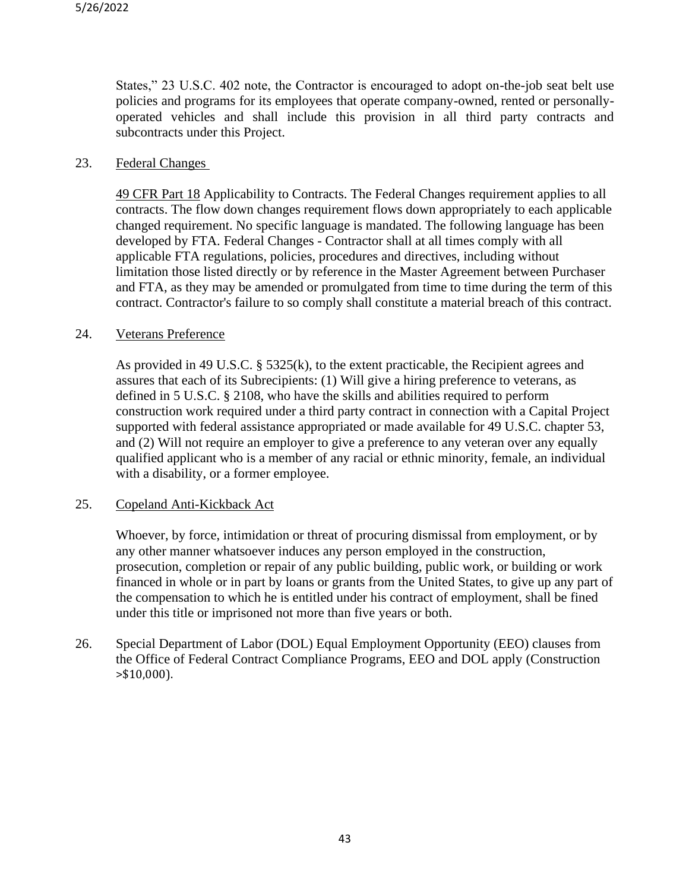States," 23 U.S.C. 402 note, the Contractor is encouraged to adopt on-the-job seat belt use policies and programs for its employees that operate company-owned, rented or personallyoperated vehicles and shall include this provision in all third party contracts and subcontracts under this Project.

### 23. Federal Changes

49 CFR Part 18 Applicability to Contracts. The Federal Changes requirement applies to all contracts. The flow down changes requirement flows down appropriately to each applicable changed requirement. No specific language is mandated. The following language has been developed by FTA. Federal Changes - Contractor shall at all times comply with all applicable FTA regulations, policies, procedures and directives, including without limitation those listed directly or by reference in the Master Agreement between Purchaser and FTA, as they may be amended or promulgated from time to time during the term of this contract. Contractor's failure to so comply shall constitute a material breach of this contract.

### 24. Veterans Preference

As provided in 49 U.S.C. § 5325(k), to the extent practicable, the Recipient agrees and assures that each of its Subrecipients: (1) Will give a hiring preference to veterans, as defined in 5 U.S.C. § 2108, who have the skills and abilities required to perform construction work required under a third party contract in connection with a Capital Project supported with federal assistance appropriated or made available for 49 U.S.C. chapter 53, and (2) Will not require an employer to give a preference to any veteran over any equally qualified applicant who is a member of any racial or ethnic minority, female, an individual with a disability, or a former employee.

### 25. Copeland Anti-Kickback Act

Whoever, by force, intimidation or threat of procuring dismissal from employment, or by any other manner whatsoever induces any person employed in the construction, prosecution, completion or repair of any public building, public work, or building or work financed in whole or in part by loans or grants from the United States, to give up any part of the compensation to which he is entitled under his contract of employment, shall be fined under this title or imprisoned not more than five years or both.

26. Special Department of Labor (DOL) Equal Employment Opportunity (EEO) clauses from the Office of Federal Contract Compliance Programs, EEO and DOL apply (Construction >\$10,000).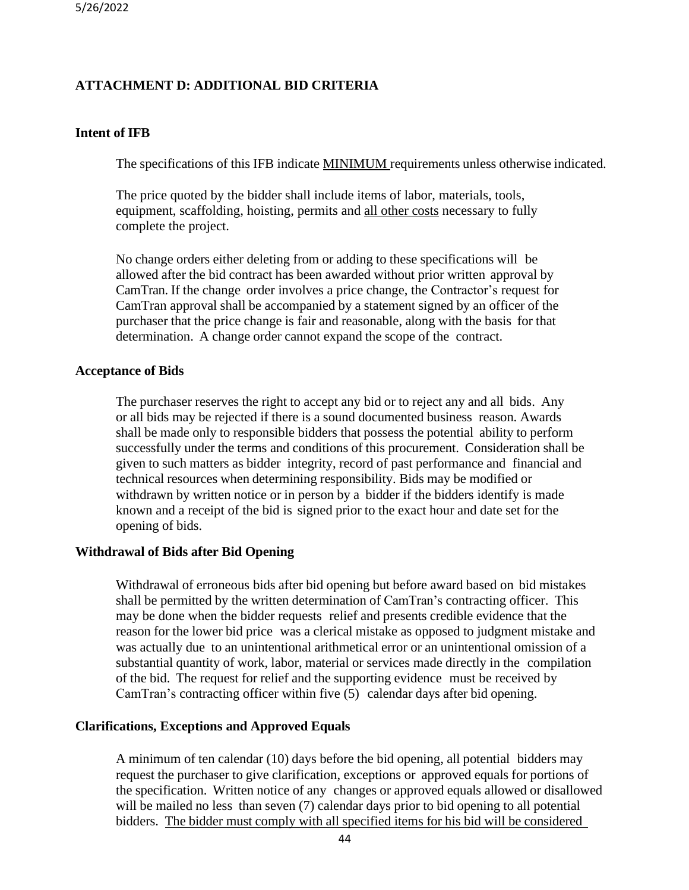## **ATTACHMENT D: ADDITIONAL BID CRITERIA**

### **Intent of IFB**

The specifications of this IFB indicate MINIMUM requirements unless otherwise indicated.

The price quoted by the bidder shall include items of labor, materials, tools, equipment, scaffolding, hoisting, permits and all other costs necessary to fully complete the project.

No change orders either deleting from or adding to these specifications will be allowed after the bid contract has been awarded without prior written approval by CamTran. If the change order involves a price change, the Contractor's request for CamTran approval shall be accompanied by a statement signed by an officer of the purchaser that the price change is fair and reasonable, along with the basis for that determination. A change order cannot expand the scope of the contract.

### **Acceptance of Bids**

The purchaser reserves the right to accept any bid or to reject any and all bids. Any or all bids may be rejected if there is a sound documented business reason. Awards shall be made only to responsible bidders that possess the potential ability to perform successfully under the terms and conditions of this procurement. Consideration shall be given to such matters as bidder integrity, record of past performance and financial and technical resources when determining responsibility. Bids may be modified or withdrawn by written notice or in person by a bidder if the bidders identify is made known and a receipt of the bid is signed prior to the exact hour and date set for the opening of bids.

### **Withdrawal of Bids after Bid Opening**

Withdrawal of erroneous bids after bid opening but before award based on bid mistakes shall be permitted by the written determination of CamTran's contracting officer. This may be done when the bidder requests relief and presents credible evidence that the reason for the lower bid price was a clerical mistake as opposed to judgment mistake and was actually due to an unintentional arithmetical error or an unintentional omission of a substantial quantity of work, labor, material or services made directly in the compilation of the bid. The request for relief and the supporting evidence must be received by CamTran's contracting officer within five (5) calendar days after bid opening.

### **Clarifications, Exceptions and Approved Equals**

A minimum of ten calendar (10) days before the bid opening, all potential bidders may request the purchaser to give clarification, exceptions or approved equals for portions of the specification. Written notice of any changes or approved equals allowed or disallowed will be mailed no less than seven (7) calendar days prior to bid opening to all potential bidders. The bidder must comply with all specified items for his bid will be considered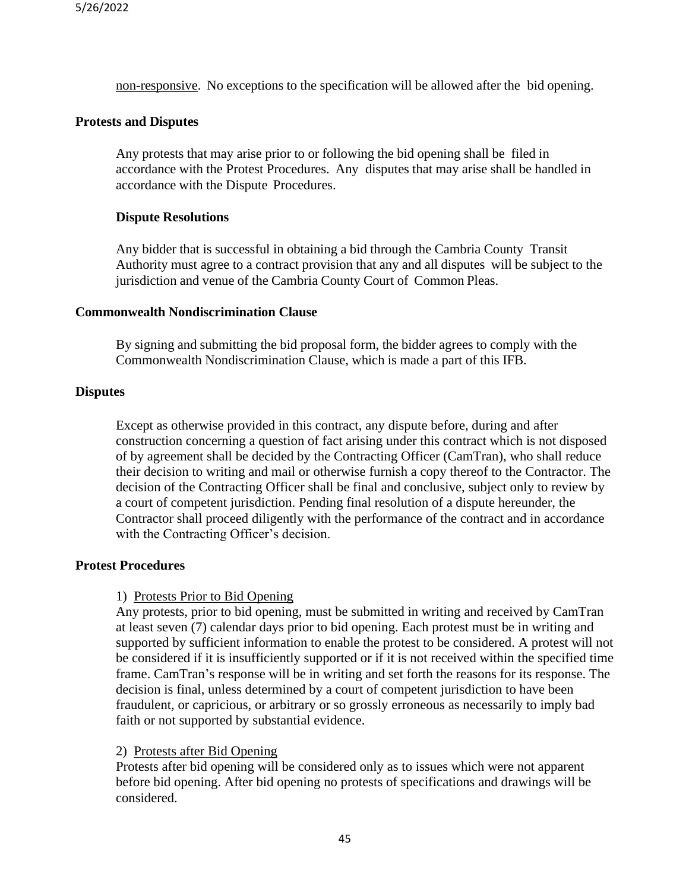non-responsive. No exceptions to the specification will be allowed after the bid opening.

### **Protests and Disputes**

Any protests that may arise prior to or following the bid opening shall be filed in accordance with the Protest Procedures. Any disputes that may arise shall be handled in accordance with the Dispute Procedures.

### **Dispute Resolutions**

Any bidder that is successful in obtaining a bid through the Cambria County Transit Authority must agree to a contract provision that any and all disputes will be subject to the jurisdiction and venue of the Cambria County Court of Common Pleas.

### **Commonwealth Nondiscrimination Clause**

By signing and submitting the bid proposal form, the bidder agrees to comply with the Commonwealth Nondiscrimination Clause, which is made a part of this IFB.

### **Disputes**

Except as otherwise provided in this contract, any dispute before, during and after construction concerning a question of fact arising under this contract which is not disposed of by agreement shall be decided by the Contracting Officer (CamTran), who shall reduce their decision to writing and mail or otherwise furnish a copy thereof to the Contractor. The decision of the Contracting Officer shall be final and conclusive, subject only to review by a court of competent jurisdiction. Pending final resolution of a dispute hereunder, the Contractor shall proceed diligently with the performance of the contract and in accordance with the Contracting Officer's decision.

### **Protest Procedures**

### 1) Protests Prior to Bid Opening

Any protests, prior to bid opening, must be submitted in writing and received by CamTran at least seven (7) calendar days prior to bid opening. Each protest must be in writing and supported by sufficient information to enable the protest to be considered. A protest will not be considered if it is insufficiently supported or if it is not received within the specified time frame. CamTran's response will be in writing and set forth the reasons for its response. The decision is final, unless determined by a court of competent jurisdiction to have been fraudulent, or capricious, or arbitrary or so grossly erroneous as necessarily to imply bad faith or not supported by substantial evidence.

### 2) Protests after Bid Opening

Protests after bid opening will be considered only as to issues which were not apparent before bid opening. After bid opening no protests of specifications and drawings will be considered.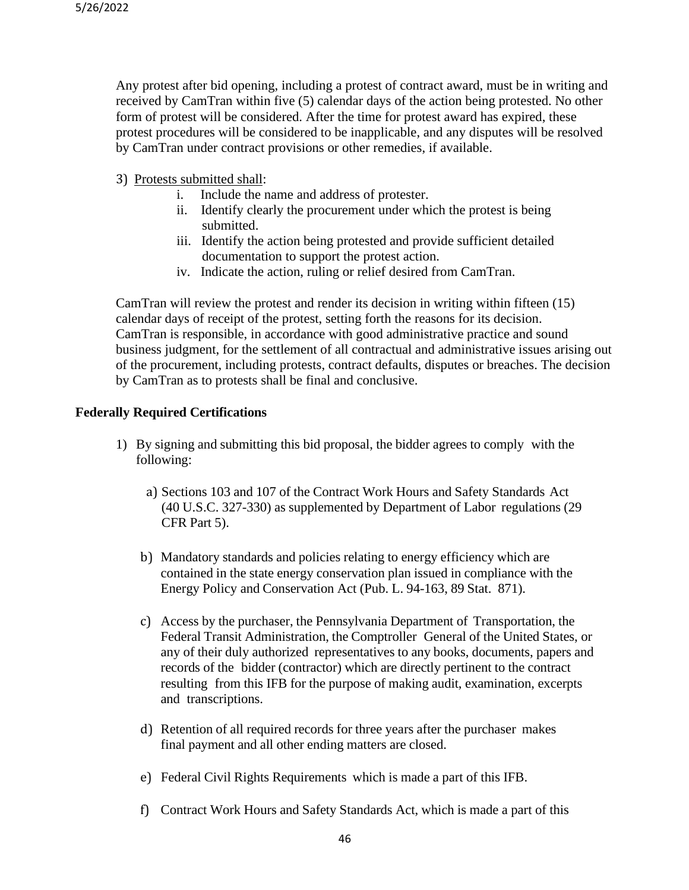Any protest after bid opening, including a protest of contract award, must be in writing and received by CamTran within five (5) calendar days of the action being protested. No other form of protest will be considered. After the time for protest award has expired, these protest procedures will be considered to be inapplicable, and any disputes will be resolved by CamTran under contract provisions or other remedies, if available.

- 3) Protests submitted shall:
	- i. Include the name and address of protester.
	- ii. Identify clearly the procurement under which the protest is being submitted.
	- iii. Identify the action being protested and provide sufficient detailed documentation to support the protest action.
	- iv. Indicate the action, ruling or relief desired from CamTran.

CamTran will review the protest and render its decision in writing within fifteen (15) calendar days of receipt of the protest, setting forth the reasons for its decision. CamTran is responsible, in accordance with good administrative practice and sound business judgment, for the settlement of all contractual and administrative issues arising out of the procurement, including protests, contract defaults, disputes or breaches. The decision by CamTran as to protests shall be final and conclusive.

### **Federally Required Certifications**

- 1) By signing and submitting this bid proposal, the bidder agrees to comply with the following:
	- a) Sections 103 and 107 of the Contract Work Hours and Safety Standards Act (40 U.S.C. 327-330) as supplemented by Department of Labor regulations (29 CFR Part 5).
	- b) Mandatory standards and policies relating to energy efficiency which are contained in the state energy conservation plan issued in compliance with the Energy Policy and Conservation Act (Pub. L. 94-163, 89 Stat. 871).
	- c) Access by the purchaser, the Pennsylvania Department of Transportation, the Federal Transit Administration, the Comptroller General of the United States, or any of their duly authorized representatives to any books, documents, papers and records of the bidder (contractor) which are directly pertinent to the contract resulting from this IFB for the purpose of making audit, examination, excerpts and transcriptions.
	- d) Retention of all required records for three years after the purchaser makes final payment and all other ending matters are closed.
	- e) Federal Civil Rights Requirements which is made a part of this IFB.
	- f) Contract Work Hours and Safety Standards Act, which is made a part of this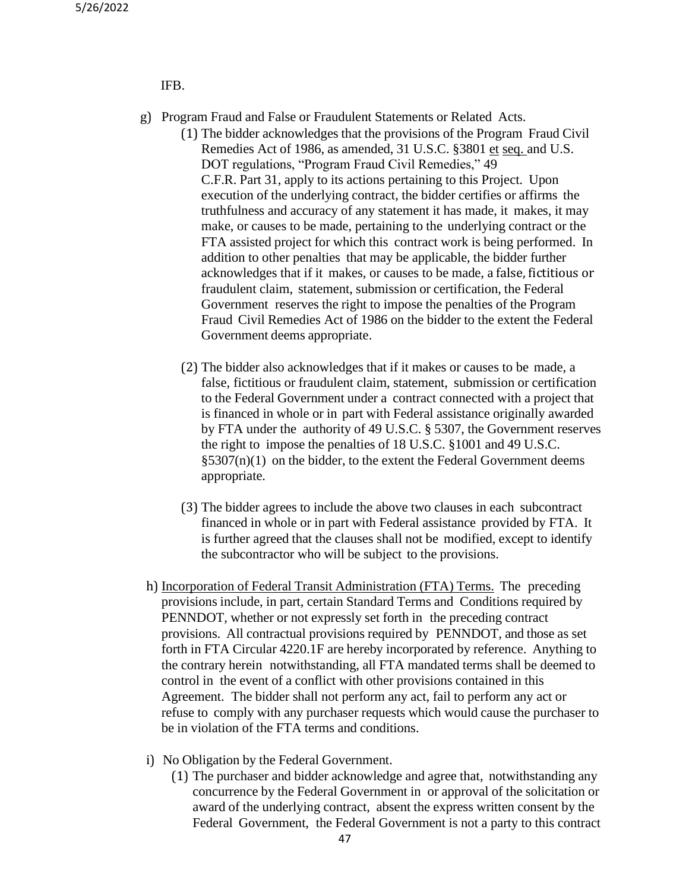#### IFB.

- g) Program Fraud and False or Fraudulent Statements or Related Acts.
	- (1) The bidder acknowledges that the provisions of the Program Fraud Civil Remedies Act of 1986, as amended, 31 U.S.C. §3801 et seq. and U.S. DOT regulations, "Program Fraud Civil Remedies," 49 C.F.R. Part 31, apply to its actions pertaining to this Project. Upon execution of the underlying contract, the bidder certifies or affirms the truthfulness and accuracy of any statement it has made, it makes, it may make, or causes to be made, pertaining to the underlying contract or the FTA assisted project for which this contract work is being performed. In addition to other penalties that may be applicable, the bidder further acknowledges that if it makes, or causes to be made, a false, fictitious or fraudulent claim, statement, submission or certification, the Federal Government reserves the right to impose the penalties of the Program Fraud Civil Remedies Act of 1986 on the bidder to the extent the Federal Government deems appropriate.
	- (2) The bidder also acknowledges that if it makes or causes to be made, a false, fictitious or fraudulent claim, statement, submission or certification to the Federal Government under a contract connected with a project that is financed in whole or in part with Federal assistance originally awarded by FTA under the authority of 49 U.S.C. § 5307, the Government reserves the right to impose the penalties of 18 U.S.C. §1001 and 49 U.S.C.  $\S$ 5307(n)(1) on the bidder, to the extent the Federal Government deems appropriate.
	- (3) The bidder agrees to include the above two clauses in each subcontract financed in whole or in part with Federal assistance provided by FTA. It is further agreed that the clauses shall not be modified, except to identify the subcontractor who will be subject to the provisions.
- h) Incorporation of Federal Transit Administration (FTA) Terms. The preceding provisions include, in part, certain Standard Terms and Conditions required by PENNDOT, whether or not expressly set forth in the preceding contract provisions. All contractual provisions required by PENNDOT, and those as set forth in FTA Circular 4220.1F are hereby incorporated by reference. Anything to the contrary herein notwithstanding, all FTA mandated terms shall be deemed to control in the event of a conflict with other provisions contained in this Agreement. The bidder shall not perform any act, fail to perform any act or refuse to comply with any purchaser requests which would cause the purchaser to be in violation of the FTA terms and conditions.
- i) No Obligation by the Federal Government.
	- (1) The purchaser and bidder acknowledge and agree that, notwithstanding any concurrence by the Federal Government in or approval of the solicitation or award of the underlying contract, absent the express written consent by the Federal Government, the Federal Government is not a party to this contract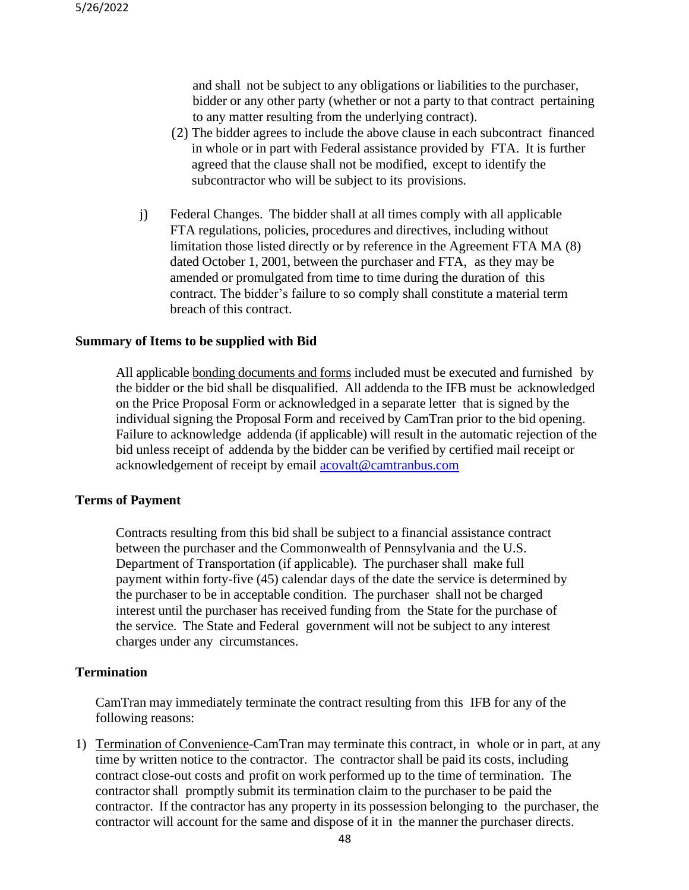and shall not be subject to any obligations or liabilities to the purchaser, bidder or any other party (whether or not a party to that contract pertaining to any matter resulting from the underlying contract).

- (2) The bidder agrees to include the above clause in each subcontract financed in whole or in part with Federal assistance provided by FTA. It is further agreed that the clause shall not be modified, except to identify the subcontractor who will be subject to its provisions.
- j) Federal Changes. The bidder shall at all times comply with all applicable FTA regulations, policies, procedures and directives, including without limitation those listed directly or by reference in the Agreement FTA MA (8) dated October 1, 2001, between the purchaser and FTA, as they may be amended or promulgated from time to time during the duration of this contract. The bidder's failure to so comply shall constitute a material term breach of this contract.

#### **Summary of Items to be supplied with Bid**

All applicable bonding documents and forms included must be executed and furnished by the bidder or the bid shall be disqualified. All addenda to the IFB must be acknowledged on the Price Proposal Form or acknowledged in a separate letter that is signed by the individual signing the Proposal Form and received by CamTran prior to the bid opening. Failure to acknowledge addenda (if applicable) will result in the automatic rejection of the bid unless receipt of addenda by the bidder can be verified by certified mail receipt or acknowledgement of receipt by email [acovalt@camtranbus.com](mailto:acovalt@camtranbus.com)

### **Terms of Payment**

Contracts resulting from this bid shall be subject to a financial assistance contract between the purchaser and the Commonwealth of Pennsylvania and the U.S. Department of Transportation (if applicable). The purchaser shall make full payment within forty-five (45) calendar days of the date the service is determined by the purchaser to be in acceptable condition. The purchaser shall not be charged interest until the purchaser has received funding from the State for the purchase of the service. The State and Federal government will not be subject to any interest charges under any circumstances.

#### **Termination**

CamTran may immediately terminate the contract resulting from this IFB for any of the following reasons:

1) Termination of Convenience-CamTran may terminate this contract, in whole or in part, at any time by written notice to the contractor. The contractor shall be paid its costs, including contract close-out costs and profit on work performed up to the time of termination. The contractor shall promptly submit its termination claim to the purchaser to be paid the contractor. If the contractor has any property in its possession belonging to the purchaser, the contractor will account for the same and dispose of it in the manner the purchaser directs.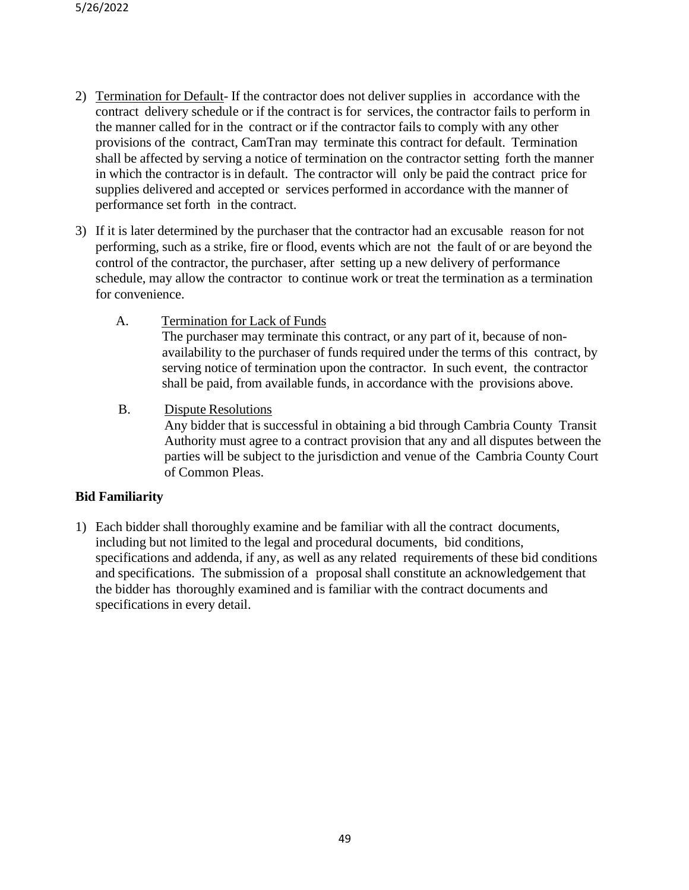- 2) Termination for Default- If the contractor does not deliver supplies in accordance with the contract delivery schedule or if the contract is for services, the contractor fails to perform in the manner called for in the contract or if the contractor fails to comply with any other provisions of the contract, CamTran may terminate this contract for default. Termination shall be affected by serving a notice of termination on the contractor setting forth the manner in which the contractor is in default. The contractor will only be paid the contract price for supplies delivered and accepted or services performed in accordance with the manner of performance set forth in the contract.
- 3) If it is later determined by the purchaser that the contractor had an excusable reason for not performing, such as a strike, fire or flood, events which are not the fault of or are beyond the control of the contractor, the purchaser, after setting up a new delivery of performance schedule, may allow the contractor to continue work or treat the termination as a termination for convenience.
	- A. Termination for Lack of Funds The purchaser may terminate this contract, or any part of it, because of nonavailability to the purchaser of funds required under the terms of this contract, by serving notice of termination upon the contractor. In such event, the contractor shall be paid, from available funds, in accordance with the provisions above.
	- B. Dispute Resolutions

Any bidder that is successful in obtaining a bid through Cambria County Transit Authority must agree to a contract provision that any and all disputes between the parties will be subject to the jurisdiction and venue of the Cambria County Court of Common Pleas.

## **Bid Familiarity**

1) Each bidder shall thoroughly examine and be familiar with all the contract documents, including but not limited to the legal and procedural documents, bid conditions, specifications and addenda, if any, as well as any related requirements of these bid conditions and specifications. The submission of a proposal shall constitute an acknowledgement that the bidder has thoroughly examined and is familiar with the contract documents and specifications in every detail.